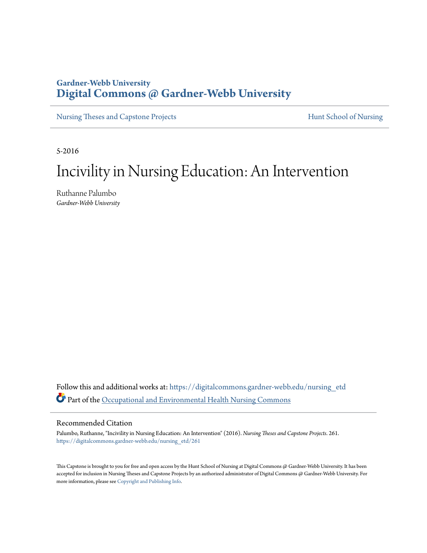## **Gardner-Webb University [Digital Commons @ Gardner-Webb University](https://digitalcommons.gardner-webb.edu?utm_source=digitalcommons.gardner-webb.edu%2Fnursing_etd%2F261&utm_medium=PDF&utm_campaign=PDFCoverPages)**

[Nursing Theses and Capstone Projects](https://digitalcommons.gardner-webb.edu/nursing_etd?utm_source=digitalcommons.gardner-webb.edu%2Fnursing_etd%2F261&utm_medium=PDF&utm_campaign=PDFCoverPages) **[Hunt School of Nursing](https://digitalcommons.gardner-webb.edu/nursing?utm_source=digitalcommons.gardner-webb.edu%2Fnursing_etd%2F261&utm_medium=PDF&utm_campaign=PDFCoverPages)** 

5-2016

# Incivility in Nursing Education: An Intervention

Ruthanne Palumbo *Gardner-Webb University*

Follow this and additional works at: [https://digitalcommons.gardner-webb.edu/nursing\\_etd](https://digitalcommons.gardner-webb.edu/nursing_etd?utm_source=digitalcommons.gardner-webb.edu%2Fnursing_etd%2F261&utm_medium=PDF&utm_campaign=PDFCoverPages) Part of the [Occupational and Environmental Health Nursing Commons](http://network.bepress.com/hgg/discipline/728?utm_source=digitalcommons.gardner-webb.edu%2Fnursing_etd%2F261&utm_medium=PDF&utm_campaign=PDFCoverPages)

#### Recommended Citation

Palumbo, Ruthanne, "Incivility in Nursing Education: An Intervention" (2016). *Nursing Theses and Capstone Projects*. 261. [https://digitalcommons.gardner-webb.edu/nursing\\_etd/261](https://digitalcommons.gardner-webb.edu/nursing_etd/261?utm_source=digitalcommons.gardner-webb.edu%2Fnursing_etd%2F261&utm_medium=PDF&utm_campaign=PDFCoverPages)

This Capstone is brought to you for free and open access by the Hunt School of Nursing at Digital Commons @ Gardner-Webb University. It has been accepted for inclusion in Nursing Theses and Capstone Projects by an authorized administrator of Digital Commons @ Gardner-Webb University. For more information, please see [Copyright and Publishing Info](https://digitalcommons.gardner-webb.edu/copyright_publishing.html).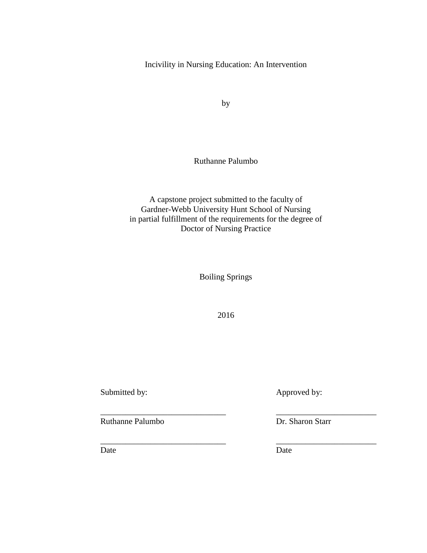Incivility in Nursing Education: An Intervention

by

Ruthanne Palumbo

A capstone project submitted to the faculty of Gardner-Webb University Hunt School of Nursing in partial fulfillment of the requirements for the degree of Doctor of Nursing Practice

Boiling Springs

2016

\_\_\_\_\_\_\_\_\_\_\_\_\_\_\_\_\_\_\_\_\_\_\_\_\_\_\_\_\_\_ \_\_\_\_\_\_\_\_\_\_\_\_\_\_\_\_\_\_\_\_\_\_\_\_

\_\_\_\_\_\_\_\_\_\_\_\_\_\_\_\_\_\_\_\_\_\_\_\_\_\_\_\_\_\_ \_\_\_\_\_\_\_\_\_\_\_\_\_\_\_\_\_\_\_\_\_\_\_\_

Submitted by: Approved by:

Ruthanne Palumbo Dr. Sharon Starr

Date Date Date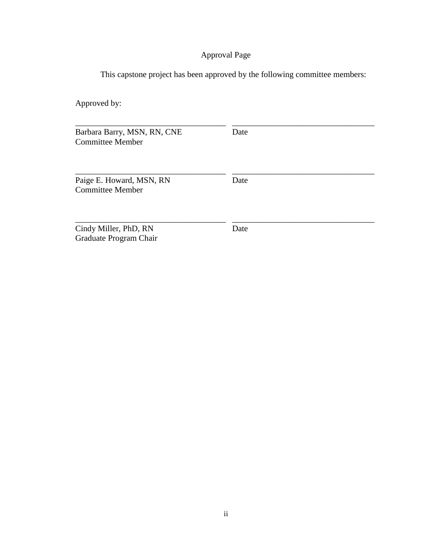## Approval Page

This capstone project has been approved by the following committee members:

Approved by:

Barbara Barry, MSN, RN, CNE Date Committee Member

| Paige E. Howard, MSN, RN | Date |  |
|--------------------------|------|--|
| <b>Committee Member</b>  |      |  |
|                          |      |  |

\_\_\_\_\_\_\_\_\_\_\_\_\_\_\_\_\_\_\_\_\_\_\_\_\_\_\_\_\_\_\_\_\_\_\_\_ \_\_\_\_\_\_\_\_\_\_\_\_\_\_\_\_\_\_\_\_\_\_\_\_\_\_\_\_\_\_\_\_\_\_

\_\_\_\_\_\_\_\_\_\_\_\_\_\_\_\_\_\_\_\_\_\_\_\_\_\_\_\_\_\_\_\_\_\_\_\_ \_\_\_\_\_\_\_\_\_\_\_\_\_\_\_\_\_\_\_\_\_\_\_\_\_\_\_\_\_\_\_\_\_\_

Cindy Miller, PhD, RN Date Graduate Program Chair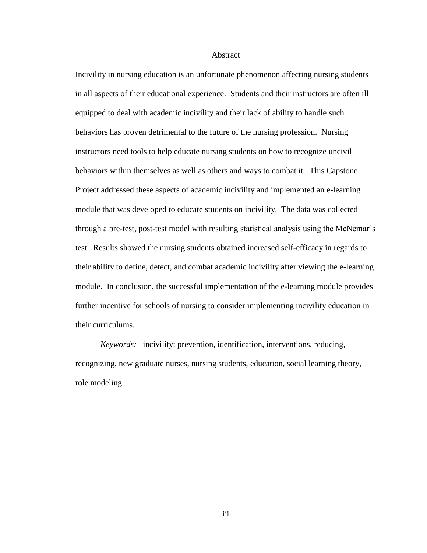#### Abstract

Incivility in nursing education is an unfortunate phenomenon affecting nursing students in all aspects of their educational experience. Students and their instructors are often ill equipped to deal with academic incivility and their lack of ability to handle such behaviors has proven detrimental to the future of the nursing profession. Nursing instructors need tools to help educate nursing students on how to recognize uncivil behaviors within themselves as well as others and ways to combat it. This Capstone Project addressed these aspects of academic incivility and implemented an e-learning module that was developed to educate students on incivility. The data was collected through a pre-test, post-test model with resulting statistical analysis using the McNemar's test. Results showed the nursing students obtained increased self-efficacy in regards to their ability to define, detect, and combat academic incivility after viewing the e-learning module. In conclusion, the successful implementation of the e-learning module provides further incentive for schools of nursing to consider implementing incivility education in their curriculums.

*Keywords:* incivility: prevention, identification, interventions, reducing, recognizing, new graduate nurses, nursing students, education, social learning theory, role modeling

iii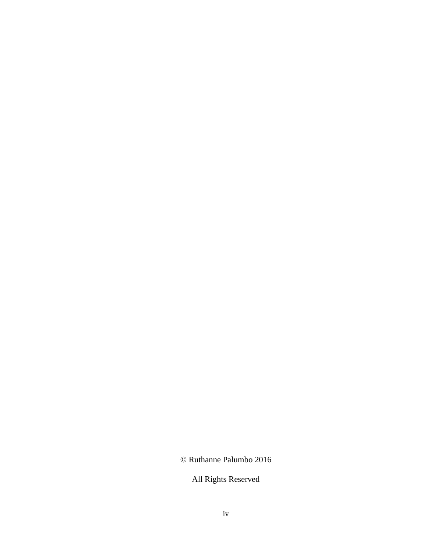© Ruthanne Palumbo 2016

All Rights Reserved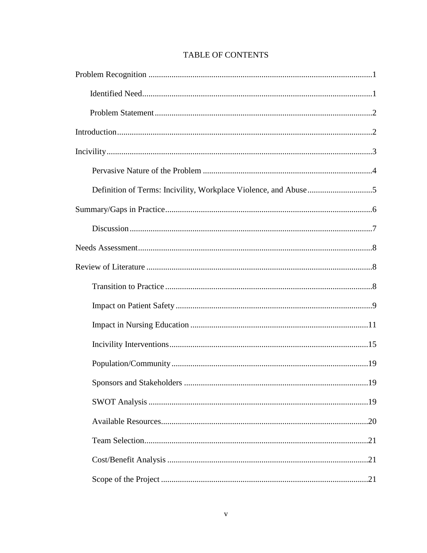## **TABLE OF CONTENTS**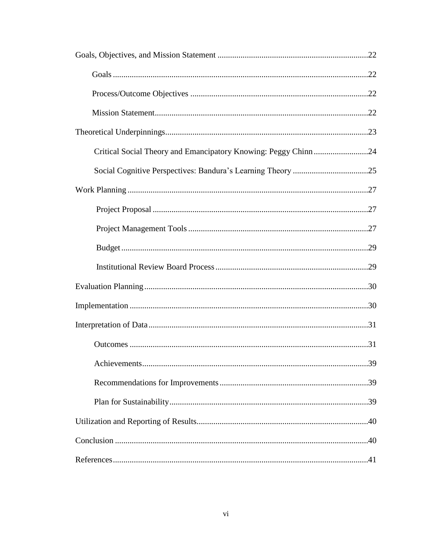| Critical Social Theory and Emancipatory Knowing: Peggy Chinn24 |  |
|----------------------------------------------------------------|--|
|                                                                |  |
|                                                                |  |
|                                                                |  |
|                                                                |  |
|                                                                |  |
|                                                                |  |
|                                                                |  |
|                                                                |  |
|                                                                |  |
|                                                                |  |
|                                                                |  |
|                                                                |  |
|                                                                |  |
|                                                                |  |
|                                                                |  |
|                                                                |  |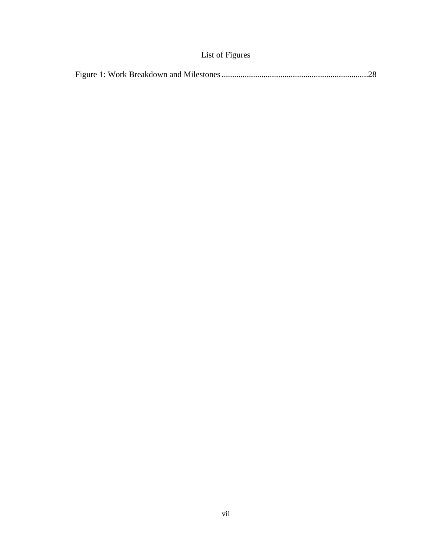## List of Figures

|--|--|--|--|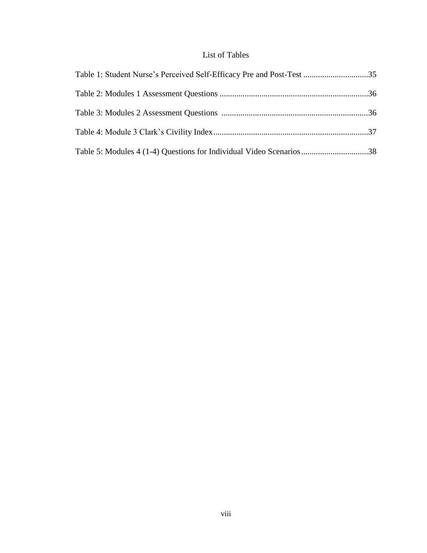## List of Tables

| Table 1: Student Nurse's Perceived Self-Efficacy Pre and Post-Test 35 |  |
|-----------------------------------------------------------------------|--|
|                                                                       |  |
|                                                                       |  |
|                                                                       |  |
| Table 5: Modules 4 (1-4) Questions for Individual Video Scenarios38   |  |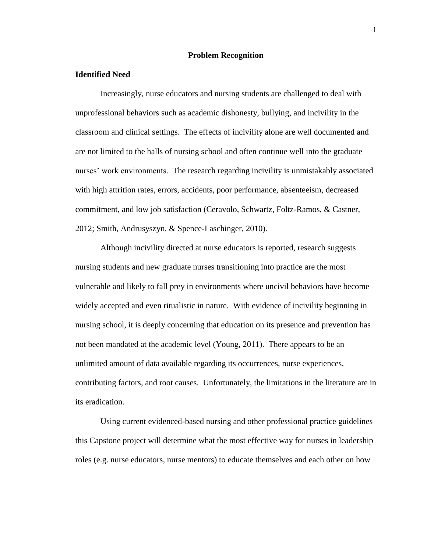#### **Problem Recognition**

#### **Identified Need**

Increasingly, nurse educators and nursing students are challenged to deal with unprofessional behaviors such as academic dishonesty, bullying, and incivility in the classroom and clinical settings. The effects of incivility alone are well documented and are not limited to the halls of nursing school and often continue well into the graduate nurses' work environments. The research regarding incivility is unmistakably associated with high attrition rates, errors, accidents, poor performance, absenteeism, decreased commitment, and low job satisfaction (Ceravolo, Schwartz, Foltz-Ramos, & Castner, 2012; Smith, Andrusyszyn, & Spence-Laschinger, 2010).

Although incivility directed at nurse educators is reported, research suggests nursing students and new graduate nurses transitioning into practice are the most vulnerable and likely to fall prey in environments where uncivil behaviors have become widely accepted and even ritualistic in nature. With evidence of incivility beginning in nursing school, it is deeply concerning that education on its presence and prevention has not been mandated at the academic level (Young, 2011). There appears to be an unlimited amount of data available regarding its occurrences, nurse experiences, contributing factors, and root causes. Unfortunately, the limitations in the literature are in its eradication.

Using current evidenced-based nursing and other professional practice guidelines this Capstone project will determine what the most effective way for nurses in leadership roles (e.g. nurse educators, nurse mentors) to educate themselves and each other on how

1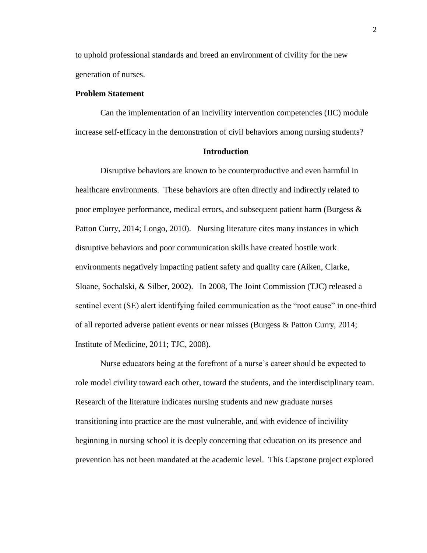to uphold professional standards and breed an environment of civility for the new generation of nurses.

#### **Problem Statement**

Can the implementation of an incivility intervention competencies (IIC) module increase self-efficacy in the demonstration of civil behaviors among nursing students?

#### **Introduction**

Disruptive behaviors are known to be counterproductive and even harmful in healthcare environments. These behaviors are often directly and indirectly related to poor employee performance, medical errors, and subsequent patient harm (Burgess  $\&$ Patton Curry, 2014; Longo, 2010). Nursing literature cites many instances in which disruptive behaviors and poor communication skills have created hostile work environments negatively impacting patient safety and quality care (Aiken, Clarke, Sloane, Sochalski, & Silber, 2002). In 2008, The Joint Commission (TJC) released a sentinel event (SE) alert identifying failed communication as the "root cause" in one-third of all reported adverse patient events or near misses (Burgess & Patton Curry, 2014; Institute of Medicine, 2011; TJC, 2008).

Nurse educators being at the forefront of a nurse's career should be expected to role model civility toward each other, toward the students, and the interdisciplinary team. Research of the literature indicates nursing students and new graduate nurses transitioning into practice are the most vulnerable, and with evidence of incivility beginning in nursing school it is deeply concerning that education on its presence and prevention has not been mandated at the academic level. This Capstone project explored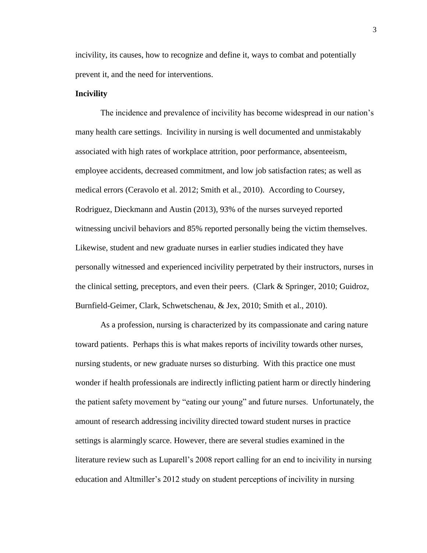incivility, its causes, how to recognize and define it, ways to combat and potentially prevent it, and the need for interventions.

#### **Incivility**

The incidence and prevalence of incivility has become widespread in our nation's many health care settings. Incivility in nursing is well documented and unmistakably associated with high rates of workplace attrition, poor performance, absenteeism, employee accidents, decreased commitment, and low job satisfaction rates; as well as medical errors (Ceravolo et al. 2012; Smith et al., 2010). According to Coursey, Rodriguez, Dieckmann and Austin (2013), 93% of the nurses surveyed reported witnessing uncivil behaviors and 85% reported personally being the victim themselves. Likewise, student and new graduate nurses in earlier studies indicated they have personally witnessed and experienced incivility perpetrated by their instructors, nurses in the clinical setting, preceptors, and even their peers. (Clark & Springer, 2010; Guidroz, Burnfield-Geimer, Clark, Schwetschenau, & Jex, 2010; Smith et al., 2010).

As a profession, nursing is characterized by its compassionate and caring nature toward patients. Perhaps this is what makes reports of incivility towards other nurses, nursing students, or new graduate nurses so disturbing. With this practice one must wonder if health professionals are indirectly inflicting patient harm or directly hindering the patient safety movement by "eating our young" and future nurses. Unfortunately, the amount of research addressing incivility directed toward student nurses in practice settings is alarmingly scarce. However, there are several studies examined in the literature review such as Luparell's 2008 report calling for an end to incivility in nursing education and Altmiller's 2012 study on student perceptions of incivility in nursing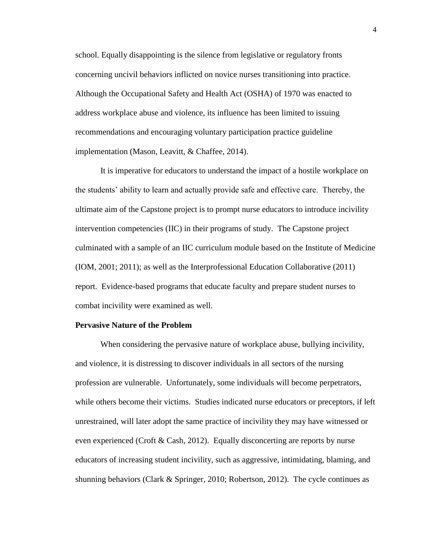school. Equally disappointing is the silence from legislative or regulatory fronts concerning uncivil behaviors inflicted on novice nurses transitioning into practice. Although the Occupational Safety and Health Act (OSHA) of 1970 was enacted to address workplace abuse and violence, its influence has been limited to issuing recommendations and encouraging voluntary participation practice guideline implementation (Mason, Leavitt, & Chaffee, 2014).

It is imperative for educators to understand the impact of a hostile workplace on the students' ability to learn and actually provide safe and effective care. Thereby, the ultimate aim of the Capstone project is to prompt nurse educators to introduce incivility intervention competencies (IIC) in their programs of study. The Capstone project culminated with a sample of an IIC curriculum module based on the Institute of Medicine (IOM, 2001; 2011); as well as the Interprofessional Education Collaborative (2011) report. Evidence-based programs that educate faculty and prepare student nurses to combat incivility were examined as well.

#### **Pervasive Nature of the Problem**

When considering the pervasive nature of workplace abuse, bullying incivility, and violence, it is distressing to discover individuals in all sectors of the nursing profession are vulnerable. Unfortunately, some individuals will become perpetrators, while others become their victims. Studies indicated nurse educators or preceptors, if left unrestrained, will later adopt the same practice of incivility they may have witnessed or even experienced (Croft & Cash, 2012). Equally disconcerting are reports by nurse educators of increasing student incivility, such as aggressive, intimidating, blaming, and shunning behaviors (Clark & Springer, 2010; Robertson, 2012). The cycle continues as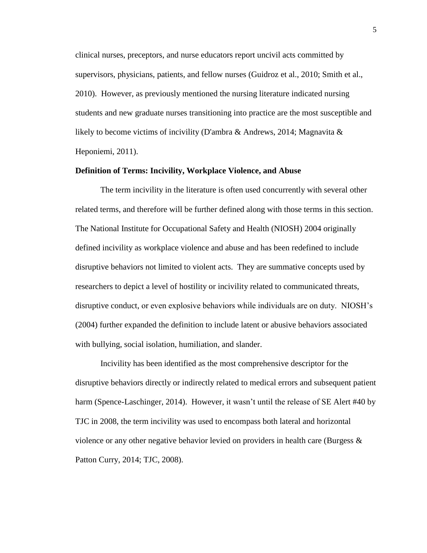clinical nurses, preceptors, and nurse educators report uncivil acts committed by supervisors, physicians, patients, and fellow nurses (Guidroz et al., 2010; Smith et al., 2010). However, as previously mentioned the nursing literature indicated nursing students and new graduate nurses transitioning into practice are the most susceptible and likely to become victims of incivility (D'ambra & Andrews, 2014; Magnavita  $\&$ Heponiemi, 2011).

#### **Definition of Terms: Incivility, Workplace Violence, and Abuse**

The term incivility in the literature is often used concurrently with several other related terms, and therefore will be further defined along with those terms in this section. The National Institute for Occupational Safety and Health (NIOSH) 2004 originally defined incivility as workplace violence and abuse and has been redefined to include disruptive behaviors not limited to violent acts. They are summative concepts used by researchers to depict a level of hostility or incivility related to communicated threats, disruptive conduct, or even explosive behaviors while individuals are on duty. NIOSH's (2004) further expanded the definition to include latent or abusive behaviors associated with bullying, social isolation, humiliation, and slander.

Incivility has been identified as the most comprehensive descriptor for the disruptive behaviors directly or indirectly related to medical errors and subsequent patient harm (Spence-Laschinger, 2014). However, it wasn't until the release of SE Alert #40 by TJC in 2008, the term incivility was used to encompass both lateral and horizontal violence or any other negative behavior levied on providers in health care (Burgess  $\&$ Patton Curry, 2014; TJC, 2008).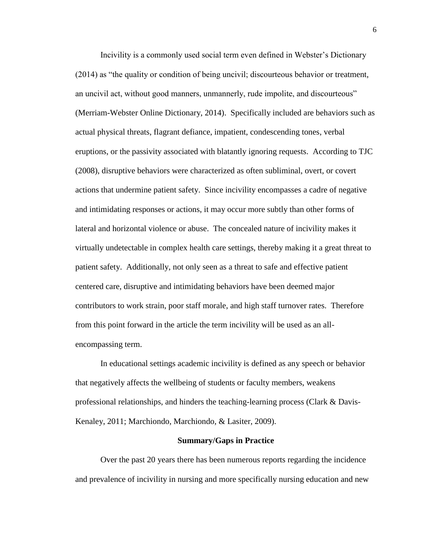Incivility is a commonly used social term even defined in Webster's Dictionary (2014) as "the quality or condition of being uncivil; discourteous behavior or treatment, an uncivil act, without good manners, unmannerly, rude impolite, and discourteous" (Merriam-Webster Online Dictionary, 2014). Specifically included are behaviors such as actual physical threats, flagrant defiance, impatient, condescending tones, verbal eruptions, or the passivity associated with blatantly ignoring requests. According to TJC (2008), disruptive behaviors were characterized as often subliminal, overt, or covert actions that undermine patient safety. Since incivility encompasses a cadre of negative and intimidating responses or actions, it may occur more subtly than other forms of lateral and horizontal violence or abuse. The concealed nature of incivility makes it virtually undetectable in complex health care settings, thereby making it a great threat to patient safety. Additionally, not only seen as a threat to safe and effective patient centered care, disruptive and intimidating behaviors have been deemed major contributors to work strain, poor staff morale, and high staff turnover rates. Therefore from this point forward in the article the term incivility will be used as an allencompassing term.

In educational settings academic incivility is defined as any speech or behavior that negatively affects the wellbeing of students or faculty members, weakens professional relationships, and hinders the teaching-learning process (Clark & Davis-Kenaley, 2011; Marchiondo, Marchiondo, & Lasiter, 2009).

#### **Summary/Gaps in Practice**

Over the past 20 years there has been numerous reports regarding the incidence and prevalence of incivility in nursing and more specifically nursing education and new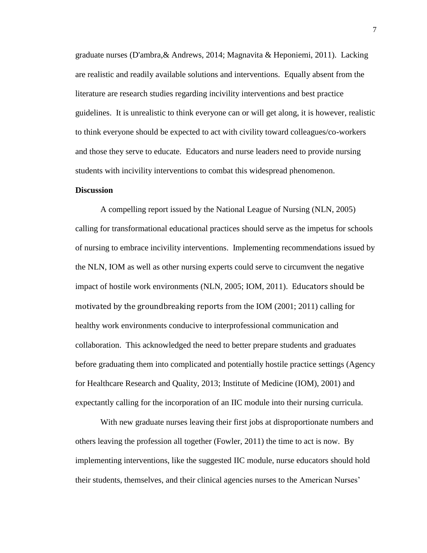graduate nurses (D'ambra,& Andrews, 2014; Magnavita & Heponiemi, 2011). Lacking are realistic and readily available solutions and interventions. Equally absent from the literature are research studies regarding incivility interventions and best practice guidelines. It is unrealistic to think everyone can or will get along, it is however, realistic to think everyone should be expected to act with civility toward colleagues/co-workers and those they serve to educate. Educators and nurse leaders need to provide nursing students with incivility interventions to combat this widespread phenomenon.

#### **Discussion**

A compelling report issued by the National League of Nursing (NLN, 2005) calling for transformational educational practices should serve as the impetus for schools of nursing to embrace incivility interventions. Implementing recommendations issued by the NLN, IOM as well as other nursing experts could serve to circumvent the negative impact of hostile work environments (NLN, 2005; IOM, 2011). Educators should be motivated by the groundbreaking reports from the IOM (2001; 2011) calling for healthy work environments conducive to interprofessional communication and collaboration. This acknowledged the need to better prepare students and graduates before graduating them into complicated and potentially hostile practice settings (Agency for Healthcare Research and Quality, 2013; Institute of Medicine (IOM), 2001) and expectantly calling for the incorporation of an IIC module into their nursing curricula.

With new graduate nurses leaving their first jobs at disproportionate numbers and others leaving the profession all together (Fowler, 2011) the time to act is now. By implementing interventions, like the suggested IIC module, nurse educators should hold their students, themselves, and their clinical agencies nurses to the American Nurses'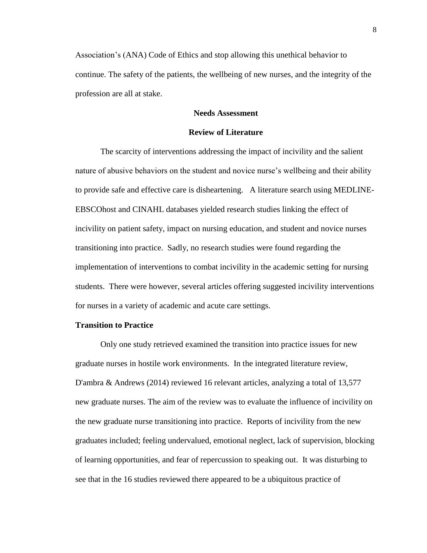Association's (ANA) Code of Ethics and stop allowing this unethical behavior to continue. The safety of the patients, the wellbeing of new nurses, and the integrity of the profession are all at stake.

#### **Needs Assessment**

#### **Review of Literature**

The scarcity of interventions addressing the impact of incivility and the salient nature of abusive behaviors on the student and novice nurse's wellbeing and their ability to provide safe and effective care is disheartening. A literature search using MEDLINE-EBSCOhost and CINAHL databases yielded research studies linking the effect of incivility on patient safety, impact on nursing education, and student and novice nurses transitioning into practice. Sadly, no research studies were found regarding the implementation of interventions to combat incivility in the academic setting for nursing students. There were however, several articles offering suggested incivility interventions for nurses in a variety of academic and acute care settings.

#### **Transition to Practice**

Only one study retrieved examined the transition into practice issues for new graduate nurses in hostile work environments. In the integrated literature review, D'ambra & Andrews (2014) reviewed 16 relevant articles, analyzing a total of 13,577 new graduate nurses. The aim of the review was to evaluate the influence of incivility on the new graduate nurse transitioning into practice. Reports of incivility from the new graduates included; feeling undervalued, emotional neglect, lack of supervision, blocking of learning opportunities, and fear of repercussion to speaking out. It was disturbing to see that in the 16 studies reviewed there appeared to be a ubiquitous practice of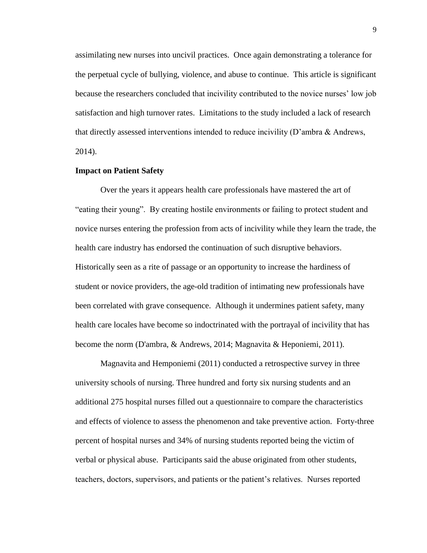assimilating new nurses into uncivil practices. Once again demonstrating a tolerance for the perpetual cycle of bullying, violence, and abuse to continue. This article is significant because the researchers concluded that incivility contributed to the novice nurses' low job satisfaction and high turnover rates. Limitations to the study included a lack of research that directly assessed interventions intended to reduce incivility (D'ambra & Andrews, 2014).

#### **Impact on Patient Safety**

Over the years it appears health care professionals have mastered the art of "eating their young". By creating hostile environments or failing to protect student and novice nurses entering the profession from acts of incivility while they learn the trade, the health care industry has endorsed the continuation of such disruptive behaviors. Historically seen as a rite of passage or an opportunity to increase the hardiness of student or novice providers, the age-old tradition of intimating new professionals have been correlated with grave consequence. Although it undermines patient safety, many health care locales have become so indoctrinated with the portrayal of incivility that has become the norm (D'ambra, & Andrews, 2014; Magnavita & Heponiemi, 2011).

Magnavita and Hemponiemi (2011) conducted a retrospective survey in three university schools of nursing. Three hundred and forty six nursing students and an additional 275 hospital nurses filled out a questionnaire to compare the characteristics and effects of violence to assess the phenomenon and take preventive action. Forty-three percent of hospital nurses and 34% of nursing students reported being the victim of verbal or physical abuse. Participants said the abuse originated from other students, teachers, doctors, supervisors, and patients or the patient's relatives. Nurses reported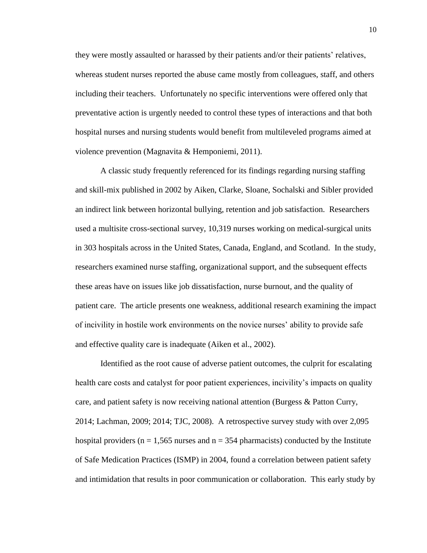they were mostly assaulted or harassed by their patients and/or their patients' relatives, whereas student nurses reported the abuse came mostly from colleagues, staff, and others including their teachers. Unfortunately no specific interventions were offered only that preventative action is urgently needed to control these types of interactions and that both hospital nurses and nursing students would benefit from multileveled programs aimed at violence prevention (Magnavita & Hemponiemi, 2011).

A classic study frequently referenced for its findings regarding nursing staffing and skill-mix published in 2002 by Aiken, Clarke, Sloane, Sochalski and Sibler provided an indirect link between horizontal bullying, retention and job satisfaction. Researchers used a multisite cross-sectional survey, 10,319 nurses working on medical-surgical units in 303 hospitals across in the United States, Canada, England, and Scotland. In the study, researchers examined nurse staffing, organizational support, and the subsequent effects these areas have on issues like job dissatisfaction, nurse burnout, and the quality of patient care. The article presents one weakness, additional research examining the impact of incivility in hostile work environments on the novice nurses' ability to provide safe and effective quality care is inadequate (Aiken et al., 2002).

Identified as the root cause of adverse patient outcomes, the culprit for escalating health care costs and catalyst for poor patient experiences, incivility's impacts on quality care, and patient safety is now receiving national attention (Burgess & Patton Curry, 2014; Lachman, 2009; 2014; TJC, 2008). A retrospective survey study with over 2,095 hospital providers ( $n = 1,565$  nurses and  $n = 354$  pharmacists) conducted by the Institute of Safe Medication Practices (ISMP) in 2004, found a correlation between patient safety and intimidation that results in poor communication or collaboration. This early study by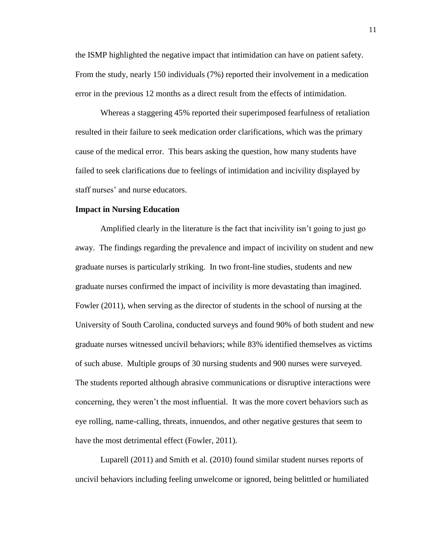the ISMP highlighted the negative impact that intimidation can have on patient safety. From the study, nearly 150 individuals (7%) reported their involvement in a medication error in the previous 12 months as a direct result from the effects of intimidation.

Whereas a staggering 45% reported their superimposed fearfulness of retaliation resulted in their failure to seek medication order clarifications, which was the primary cause of the medical error. This bears asking the question, how many students have failed to seek clarifications due to feelings of intimidation and incivility displayed by staff nurses' and nurse educators.

#### **Impact in Nursing Education**

Amplified clearly in the literature is the fact that incivility isn't going to just go away. The findings regarding the prevalence and impact of incivility on student and new graduate nurses is particularly striking. In two front-line studies, students and new graduate nurses confirmed the impact of incivility is more devastating than imagined. Fowler (2011), when serving as the director of students in the school of nursing at the University of South Carolina, conducted surveys and found 90% of both student and new graduate nurses witnessed uncivil behaviors; while 83% identified themselves as victims of such abuse. Multiple groups of 30 nursing students and 900 nurses were surveyed. The students reported although abrasive communications or disruptive interactions were concerning, they weren't the most influential. It was the more covert behaviors such as eye rolling, name-calling, threats, innuendos, and other negative gestures that seem to have the most detrimental effect (Fowler, 2011).

Luparell (2011) and Smith et al. (2010) found similar student nurses reports of uncivil behaviors including feeling unwelcome or ignored, being belittled or humiliated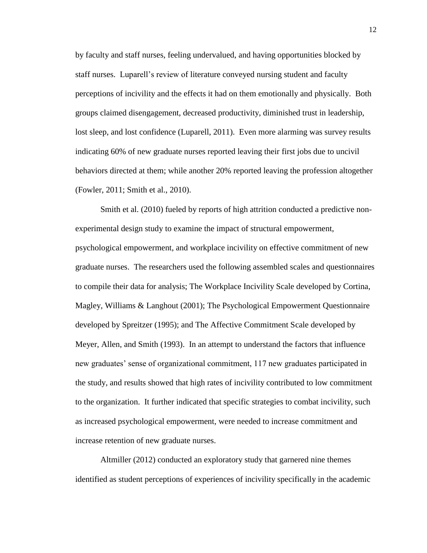by faculty and staff nurses, feeling undervalued, and having opportunities blocked by staff nurses. Luparell's review of literature conveyed nursing student and faculty perceptions of incivility and the effects it had on them emotionally and physically. Both groups claimed disengagement, decreased productivity, diminished trust in leadership, lost sleep, and lost confidence (Luparell, 2011). Even more alarming was survey results indicating 60% of new graduate nurses reported leaving their first jobs due to uncivil behaviors directed at them; while another 20% reported leaving the profession altogether (Fowler, 2011; Smith et al., 2010).

Smith et al. (2010) fueled by reports of high attrition conducted a predictive nonexperimental design study to examine the impact of structural empowerment, psychological empowerment, and workplace incivility on effective commitment of new graduate nurses. The researchers used the following assembled scales and questionnaires to compile their data for analysis; The Workplace Incivility Scale developed by Cortina, Magley, Williams & Langhout (2001); The Psychological Empowerment Questionnaire developed by Spreitzer (1995); and The Affective Commitment Scale developed by Meyer, Allen, and Smith (1993). In an attempt to understand the factors that influence new graduates' sense of organizational commitment, 117 new graduates participated in the study, and results showed that high rates of incivility contributed to low commitment to the organization. It further indicated that specific strategies to combat incivility, such as increased psychological empowerment, were needed to increase commitment and increase retention of new graduate nurses.

Altmiller (2012) conducted an exploratory study that garnered nine themes identified as student perceptions of experiences of incivility specifically in the academic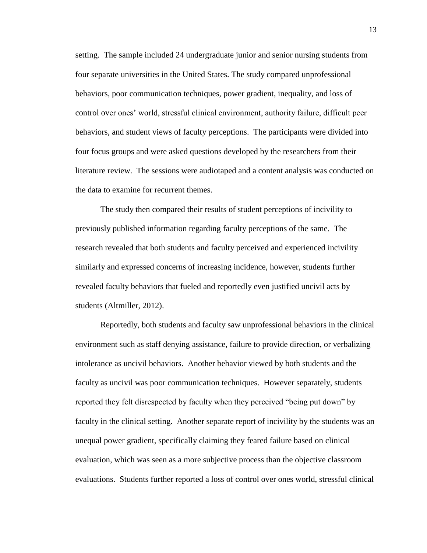setting. The sample included 24 undergraduate junior and senior nursing students from four separate universities in the United States. The study compared unprofessional behaviors, poor communication techniques, power gradient, inequality, and loss of control over ones' world, stressful clinical environment, authority failure, difficult peer behaviors, and student views of faculty perceptions. The participants were divided into four focus groups and were asked questions developed by the researchers from their literature review. The sessions were audiotaped and a content analysis was conducted on the data to examine for recurrent themes.

The study then compared their results of student perceptions of incivility to previously published information regarding faculty perceptions of the same. The research revealed that both students and faculty perceived and experienced incivility similarly and expressed concerns of increasing incidence, however, students further revealed faculty behaviors that fueled and reportedly even justified uncivil acts by students (Altmiller, 2012).

Reportedly, both students and faculty saw unprofessional behaviors in the clinical environment such as staff denying assistance, failure to provide direction, or verbalizing intolerance as uncivil behaviors. Another behavior viewed by both students and the faculty as uncivil was poor communication techniques. However separately, students reported they felt disrespected by faculty when they perceived "being put down" by faculty in the clinical setting. Another separate report of incivility by the students was an unequal power gradient, specifically claiming they feared failure based on clinical evaluation, which was seen as a more subjective process than the objective classroom evaluations. Students further reported a loss of control over ones world, stressful clinical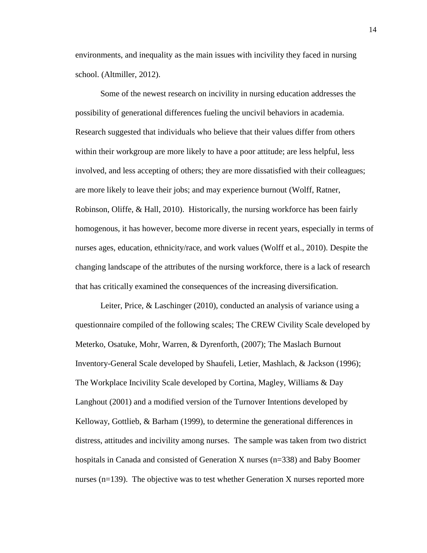environments, and inequality as the main issues with incivility they faced in nursing school. (Altmiller, 2012).

Some of the newest research on incivility in nursing education addresses the possibility of generational differences fueling the uncivil behaviors in academia. Research suggested that individuals who believe that their values differ from others within their workgroup are more likely to have a poor attitude; are less helpful, less involved, and less accepting of others; they are more dissatisfied with their colleagues; are more likely to leave their jobs; and may experience burnout (Wolff, Ratner, Robinson, Oliffe, & Hall, 2010). Historically, the nursing workforce has been fairly homogenous, it has however, become more diverse in recent years, especially in terms of nurses ages, education, ethnicity/race, and work values (Wolff et al., 2010). Despite the changing landscape of the attributes of the nursing workforce, there is a lack of research that has critically examined the consequences of the increasing diversification.

Leiter, Price, & Laschinger (2010), conducted an analysis of variance using a questionnaire compiled of the following scales; The CREW Civility Scale developed by Meterko, Osatuke, Mohr, Warren, & Dyrenforth, (2007); The Maslach Burnout Inventory-General Scale developed by Shaufeli, Letier, Mashlach, & Jackson (1996); The Workplace Incivility Scale developed by Cortina, Magley, Williams & Day Langhout (2001) and a modified version of the Turnover Intentions developed by Kelloway, Gottlieb, & Barham (1999), to determine the generational differences in distress, attitudes and incivility among nurses. The sample was taken from two district hospitals in Canada and consisted of Generation X nurses (n=338) and Baby Boomer nurses (n=139). The objective was to test whether Generation X nurses reported more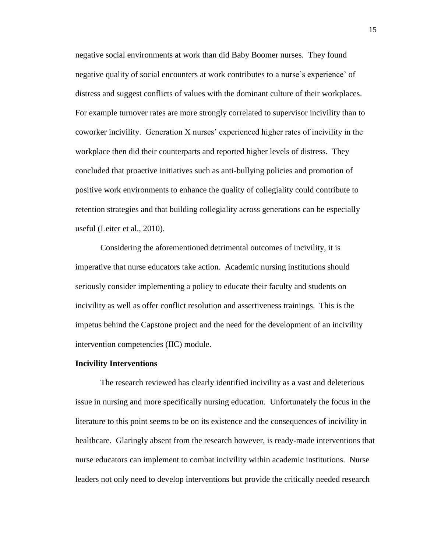negative social environments at work than did Baby Boomer nurses. They found negative quality of social encounters at work contributes to a nurse's experience' of distress and suggest conflicts of values with the dominant culture of their workplaces. For example turnover rates are more strongly correlated to supervisor incivility than to coworker incivility. Generation X nurses' experienced higher rates of incivility in the workplace then did their counterparts and reported higher levels of distress. They concluded that proactive initiatives such as anti-bullying policies and promotion of positive work environments to enhance the quality of collegiality could contribute to retention strategies and that building collegiality across generations can be especially useful (Leiter et al., 2010).

Considering the aforementioned detrimental outcomes of incivility, it is imperative that nurse educators take action. Academic nursing institutions should seriously consider implementing a policy to educate their faculty and students on incivility as well as offer conflict resolution and assertiveness trainings. This is the impetus behind the Capstone project and the need for the development of an incivility intervention competencies (IIC) module.

#### **Incivility Interventions**

The research reviewed has clearly identified incivility as a vast and deleterious issue in nursing and more specifically nursing education. Unfortunately the focus in the literature to this point seems to be on its existence and the consequences of incivility in healthcare. Glaringly absent from the research however, is ready-made interventions that nurse educators can implement to combat incivility within academic institutions. Nurse leaders not only need to develop interventions but provide the critically needed research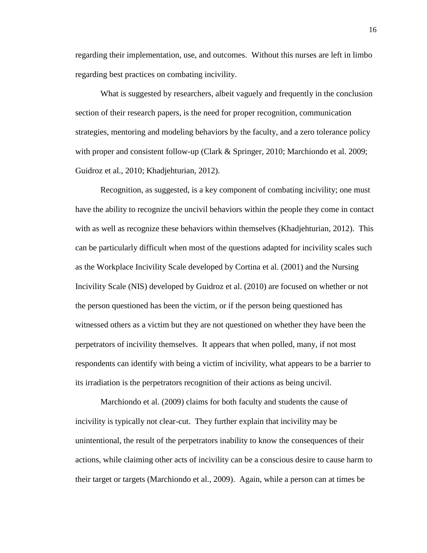regarding their implementation, use, and outcomes. Without this nurses are left in limbo regarding best practices on combating incivility.

What is suggested by researchers, albeit vaguely and frequently in the conclusion section of their research papers, is the need for proper recognition, communication strategies, mentoring and modeling behaviors by the faculty, and a zero tolerance policy with proper and consistent follow-up (Clark & Springer, 2010; Marchiondo et al. 2009; Guidroz et al., 2010; Khadjehturian, 2012).

Recognition, as suggested, is a key component of combating incivility; one must have the ability to recognize the uncivil behaviors within the people they come in contact with as well as recognize these behaviors within themselves (Khadjehturian, 2012). This can be particularly difficult when most of the questions adapted for incivility scales such as the Workplace Incivility Scale developed by Cortina et al. (2001) and the Nursing Incivility Scale (NIS) developed by Guidroz et al. (2010) are focused on whether or not the person questioned has been the victim, or if the person being questioned has witnessed others as a victim but they are not questioned on whether they have been the perpetrators of incivility themselves. It appears that when polled, many, if not most respondents can identify with being a victim of incivility, what appears to be a barrier to its irradiation is the perpetrators recognition of their actions as being uncivil.

Marchiondo et al. (2009) claims for both faculty and students the cause of incivility is typically not clear-cut. They further explain that incivility may be unintentional, the result of the perpetrators inability to know the consequences of their actions, while claiming other acts of incivility can be a conscious desire to cause harm to their target or targets (Marchiondo et al., 2009). Again, while a person can at times be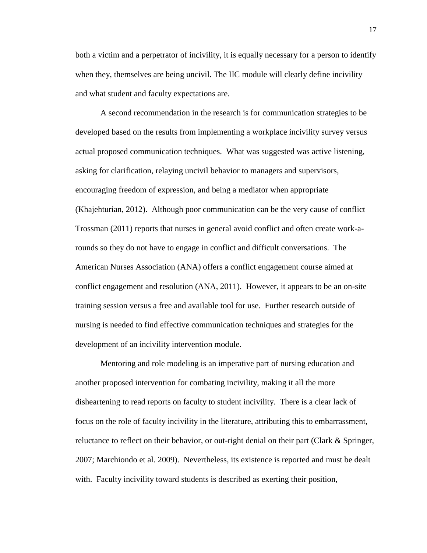both a victim and a perpetrator of incivility, it is equally necessary for a person to identify when they, themselves are being uncivil. The IIC module will clearly define incivility and what student and faculty expectations are.

A second recommendation in the research is for communication strategies to be developed based on the results from implementing a workplace incivility survey versus actual proposed communication techniques. What was suggested was active listening, asking for clarification, relaying uncivil behavior to managers and supervisors, encouraging freedom of expression, and being a mediator when appropriate (Khajehturian, 2012). Although poor communication can be the very cause of conflict Trossman (2011) reports that nurses in general avoid conflict and often create work-arounds so they do not have to engage in conflict and difficult conversations. The American Nurses Association (ANA) offers a conflict engagement course aimed at conflict engagement and resolution (ANA, 2011). However, it appears to be an on-site training session versus a free and available tool for use. Further research outside of nursing is needed to find effective communication techniques and strategies for the development of an incivility intervention module.

Mentoring and role modeling is an imperative part of nursing education and another proposed intervention for combating incivility, making it all the more disheartening to read reports on faculty to student incivility. There is a clear lack of focus on the role of faculty incivility in the literature, attributing this to embarrassment, reluctance to reflect on their behavior, or out-right denial on their part (Clark & Springer, 2007; Marchiondo et al. 2009). Nevertheless, its existence is reported and must be dealt with. Faculty incivility toward students is described as exerting their position,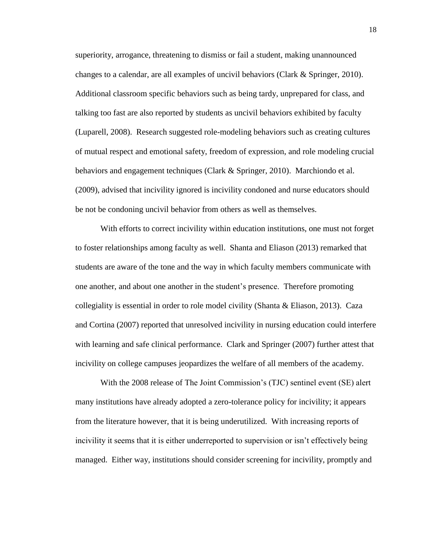superiority, arrogance, threatening to dismiss or fail a student, making unannounced changes to a calendar, are all examples of uncivil behaviors (Clark & Springer, 2010). Additional classroom specific behaviors such as being tardy, unprepared for class, and talking too fast are also reported by students as uncivil behaviors exhibited by faculty (Luparell, 2008). Research suggested role-modeling behaviors such as creating cultures of mutual respect and emotional safety, freedom of expression, and role modeling crucial behaviors and engagement techniques (Clark & Springer, 2010). Marchiondo et al. (2009), advised that incivility ignored is incivility condoned and nurse educators should be not be condoning uncivil behavior from others as well as themselves.

With efforts to correct incivility within education institutions, one must not forget to foster relationships among faculty as well. Shanta and Eliason (2013) remarked that students are aware of the tone and the way in which faculty members communicate with one another, and about one another in the student's presence. Therefore promoting collegiality is essential in order to role model civility (Shanta & Eliason, 2013). Caza and Cortina (2007) reported that unresolved incivility in nursing education could interfere with learning and safe clinical performance. Clark and Springer (2007) further attest that incivility on college campuses jeopardizes the welfare of all members of the academy.

With the 2008 release of The Joint Commission's (TJC) sentinel event (SE) alert many institutions have already adopted a zero-tolerance policy for incivility; it appears from the literature however, that it is being underutilized. With increasing reports of incivility it seems that it is either underreported to supervision or isn't effectively being managed. Either way, institutions should consider screening for incivility, promptly and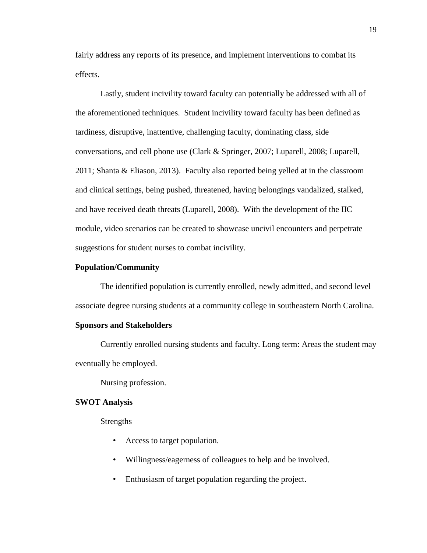fairly address any reports of its presence, and implement interventions to combat its effects.

Lastly, student incivility toward faculty can potentially be addressed with all of the aforementioned techniques. Student incivility toward faculty has been defined as tardiness, disruptive, inattentive, challenging faculty, dominating class, side conversations, and cell phone use (Clark & Springer, 2007; Luparell, 2008; Luparell, 2011; Shanta & Eliason, 2013). Faculty also reported being yelled at in the classroom and clinical settings, being pushed, threatened, having belongings vandalized, stalked, and have received death threats (Luparell, 2008). With the development of the IIC module, video scenarios can be created to showcase uncivil encounters and perpetrate suggestions for student nurses to combat incivility.

#### **Population/Community**

The identified population is currently enrolled, newly admitted, and second level associate degree nursing students at a community college in southeastern North Carolina.

#### **Sponsors and Stakeholders**

Currently enrolled nursing students and faculty. Long term: Areas the student may eventually be employed.

Nursing profession.

#### **SWOT Analysis**

Strengths

- Access to target population.
- Willingness/eagerness of colleagues to help and be involved.
- Enthusiasm of target population regarding the project.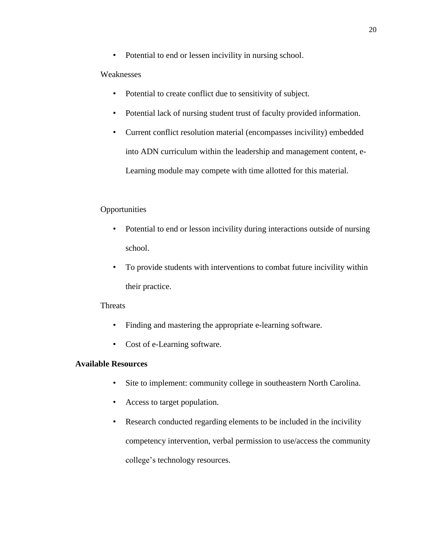• Potential to end or lessen incivility in nursing school.

#### **Weaknesses**

- Potential to create conflict due to sensitivity of subject.
- Potential lack of nursing student trust of faculty provided information.
- Current conflict resolution material (encompasses incivility) embedded into ADN curriculum within the leadership and management content, e-Learning module may compete with time allotted for this material.

### **Opportunities**

- Potential to end or lesson incivility during interactions outside of nursing school.
- To provide students with interventions to combat future incivility within their practice.

#### **Threats**

- Finding and mastering the appropriate e-learning software.
- Cost of e-Learning software.

#### **Available Resources**

- Site to implement: community college in southeastern North Carolina.
- Access to target population.
- Research conducted regarding elements to be included in the incivility competency intervention, verbal permission to use/access the community college's technology resources.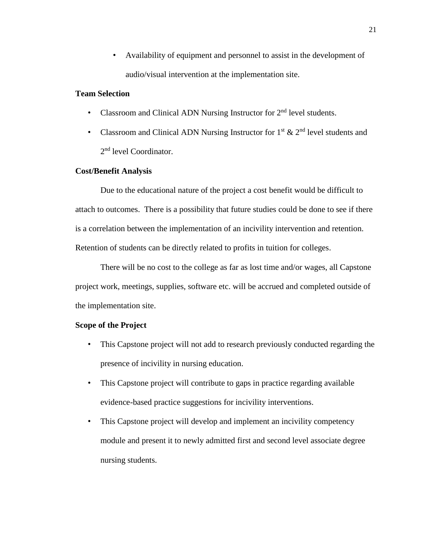• Availability of equipment and personnel to assist in the development of audio/visual intervention at the implementation site.

#### **Team Selection**

- Classroom and Clinical ADN Nursing Instructor for  $2<sup>nd</sup>$  level students.
- Classroom and Clinical ADN Nursing Instructor for  $1<sup>st</sup>$  &  $2<sup>nd</sup>$  level students and 2<sup>nd</sup> level Coordinator.

#### **Cost/Benefit Analysis**

Due to the educational nature of the project a cost benefit would be difficult to attach to outcomes. There is a possibility that future studies could be done to see if there is a correlation between the implementation of an incivility intervention and retention. Retention of students can be directly related to profits in tuition for colleges.

There will be no cost to the college as far as lost time and/or wages, all Capstone project work, meetings, supplies, software etc. will be accrued and completed outside of the implementation site.

#### **Scope of the Project**

- This Capstone project will not add to research previously conducted regarding the presence of incivility in nursing education.
- This Capstone project will contribute to gaps in practice regarding available evidence-based practice suggestions for incivility interventions.
- This Capstone project will develop and implement an incivility competency module and present it to newly admitted first and second level associate degree nursing students.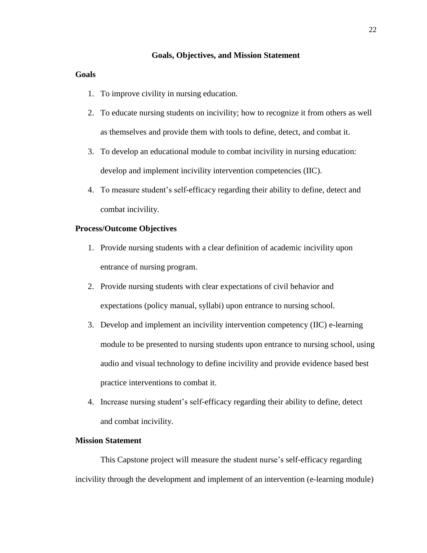#### **Goals, Objectives, and Mission Statement**

#### **Goals**

- 1. To improve civility in nursing education.
- 2. To educate nursing students on incivility; how to recognize it from others as well as themselves and provide them with tools to define, detect, and combat it.
- 3. To develop an educational module to combat incivility in nursing education: develop and implement incivility intervention competencies (IIC).
- 4. To measure student's self-efficacy regarding their ability to define, detect and combat incivility.

#### **Process/Outcome Objectives**

- 1. Provide nursing students with a clear definition of academic incivility upon entrance of nursing program.
- 2. Provide nursing students with clear expectations of civil behavior and expectations (policy manual, syllabi) upon entrance to nursing school.
- 3. Develop and implement an incivility intervention competency (IIC) e-learning module to be presented to nursing students upon entrance to nursing school, using audio and visual technology to define incivility and provide evidence based best practice interventions to combat it.
- 4. Increase nursing student's self-efficacy regarding their ability to define, detect and combat incivility.

#### **Mission Statement**

This Capstone project will measure the student nurse's self-efficacy regarding incivility through the development and implement of an intervention (e-learning module)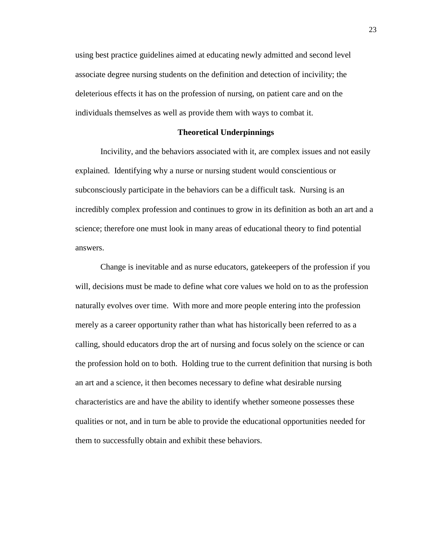using best practice guidelines aimed at educating newly admitted and second level associate degree nursing students on the definition and detection of incivility; the deleterious effects it has on the profession of nursing, on patient care and on the individuals themselves as well as provide them with ways to combat it.

#### **Theoretical Underpinnings**

Incivility, and the behaviors associated with it, are complex issues and not easily explained. Identifying why a nurse or nursing student would conscientious or subconsciously participate in the behaviors can be a difficult task. Nursing is an incredibly complex profession and continues to grow in its definition as both an art and a science; therefore one must look in many areas of educational theory to find potential answers.

Change is inevitable and as nurse educators, gatekeepers of the profession if you will, decisions must be made to define what core values we hold on to as the profession naturally evolves over time. With more and more people entering into the profession merely as a career opportunity rather than what has historically been referred to as a calling, should educators drop the art of nursing and focus solely on the science or can the profession hold on to both. Holding true to the current definition that nursing is both an art and a science, it then becomes necessary to define what desirable nursing characteristics are and have the ability to identify whether someone possesses these qualities or not, and in turn be able to provide the educational opportunities needed for them to successfully obtain and exhibit these behaviors.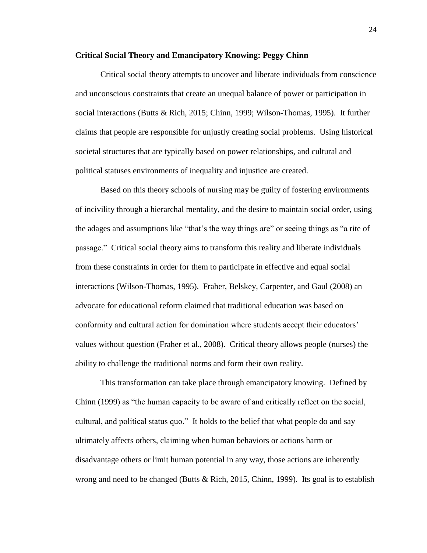#### **Critical Social Theory and Emancipatory Knowing: Peggy Chinn**

Critical social theory attempts to uncover and liberate individuals from conscience and unconscious constraints that create an unequal balance of power or participation in social interactions (Butts & Rich, 2015; Chinn, 1999; Wilson-Thomas, 1995). It further claims that people are responsible for unjustly creating social problems. Using historical societal structures that are typically based on power relationships, and cultural and political statuses environments of inequality and injustice are created.

Based on this theory schools of nursing may be guilty of fostering environments of incivility through a hierarchal mentality, and the desire to maintain social order, using the adages and assumptions like "that's the way things are" or seeing things as "a rite of passage." Critical social theory aims to transform this reality and liberate individuals from these constraints in order for them to participate in effective and equal social interactions (Wilson-Thomas, 1995). Fraher, Belskey, Carpenter, and Gaul (2008) an advocate for educational reform claimed that traditional education was based on conformity and cultural action for domination where students accept their educators' values without question (Fraher et al., 2008). Critical theory allows people (nurses) the ability to challenge the traditional norms and form their own reality.

This transformation can take place through emancipatory knowing. Defined by Chinn (1999) as "the human capacity to be aware of and critically reflect on the social, cultural, and political status quo." It holds to the belief that what people do and say ultimately affects others, claiming when human behaviors or actions harm or disadvantage others or limit human potential in any way, those actions are inherently wrong and need to be changed (Butts  $\&$  Rich, 2015, Chinn, 1999). Its goal is to establish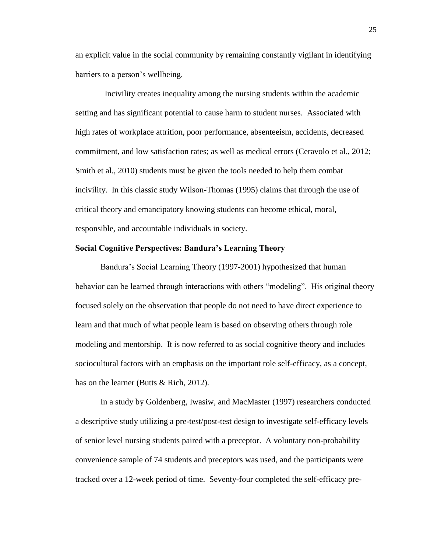an explicit value in the social community by remaining constantly vigilant in identifying barriers to a person's wellbeing.

 Incivility creates inequality among the nursing students within the academic setting and has significant potential to cause harm to student nurses. Associated with high rates of workplace attrition, poor performance, absenteeism, accidents, decreased commitment, and low satisfaction rates; as well as medical errors (Ceravolo et al., 2012; Smith et al., 2010) students must be given the tools needed to help them combat incivility. In this classic study Wilson-Thomas (1995) claims that through the use of critical theory and emancipatory knowing students can become ethical, moral, responsible, and accountable individuals in society.

#### **Social Cognitive Perspectives: Bandura's Learning Theory**

Bandura's Social Learning Theory (1997-2001) hypothesized that human behavior can be learned through interactions with others "modeling". His original theory focused solely on the observation that people do not need to have direct experience to learn and that much of what people learn is based on observing others through role modeling and mentorship. It is now referred to as social cognitive theory and includes sociocultural factors with an emphasis on the important role self-efficacy, as a concept, has on the learner (Butts & Rich, 2012).

In a study by Goldenberg, Iwasiw, and MacMaster (1997) researchers conducted a descriptive study utilizing a pre-test/post-test design to investigate self-efficacy levels of senior level nursing students paired with a preceptor. A voluntary non-probability convenience sample of 74 students and preceptors was used, and the participants were tracked over a 12-week period of time. Seventy-four completed the self-efficacy pre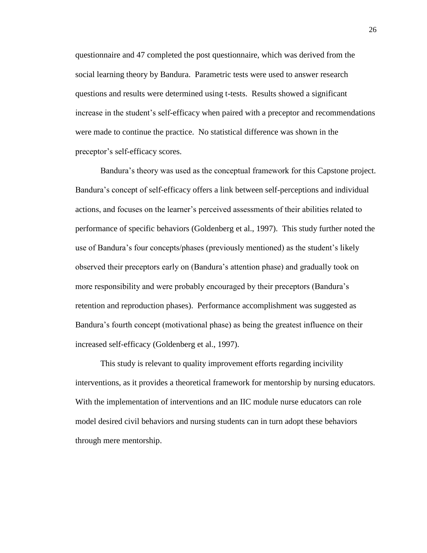questionnaire and 47 completed the post questionnaire, which was derived from the social learning theory by Bandura. Parametric tests were used to answer research questions and results were determined using t-tests. Results showed a significant increase in the student's self-efficacy when paired with a preceptor and recommendations were made to continue the practice. No statistical difference was shown in the preceptor's self-efficacy scores.

Bandura's theory was used as the conceptual framework for this Capstone project. Bandura's concept of self-efficacy offers a link between self-perceptions and individual actions, and focuses on the learner's perceived assessments of their abilities related to performance of specific behaviors (Goldenberg et al., 1997). This study further noted the use of Bandura's four concepts/phases (previously mentioned) as the student's likely observed their preceptors early on (Bandura's attention phase) and gradually took on more responsibility and were probably encouraged by their preceptors (Bandura's retention and reproduction phases). Performance accomplishment was suggested as Bandura's fourth concept (motivational phase) as being the greatest influence on their increased self-efficacy (Goldenberg et al., 1997).

This study is relevant to quality improvement efforts regarding incivility interventions, as it provides a theoretical framework for mentorship by nursing educators. With the implementation of interventions and an IIC module nurse educators can role model desired civil behaviors and nursing students can in turn adopt these behaviors through mere mentorship.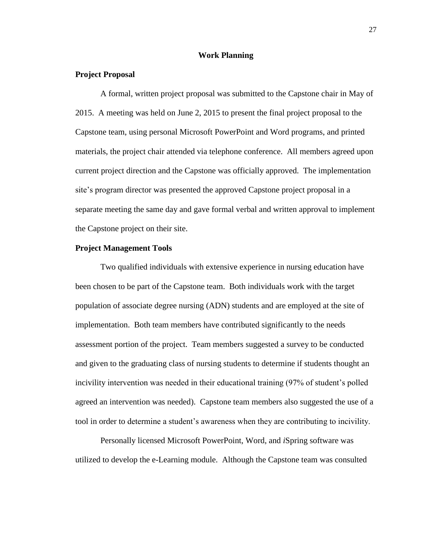#### **Work Planning**

#### **Project Proposal**

A formal, written project proposal was submitted to the Capstone chair in May of 2015. A meeting was held on June 2, 2015 to present the final project proposal to the Capstone team, using personal Microsoft PowerPoint and Word programs, and printed materials, the project chair attended via telephone conference. All members agreed upon current project direction and the Capstone was officially approved. The implementation site's program director was presented the approved Capstone project proposal in a separate meeting the same day and gave formal verbal and written approval to implement the Capstone project on their site.

#### **Project Management Tools**

Two qualified individuals with extensive experience in nursing education have been chosen to be part of the Capstone team. Both individuals work with the target population of associate degree nursing (ADN) students and are employed at the site of implementation. Both team members have contributed significantly to the needs assessment portion of the project. Team members suggested a survey to be conducted and given to the graduating class of nursing students to determine if students thought an incivility intervention was needed in their educational training (97% of student's polled agreed an intervention was needed). Capstone team members also suggested the use of a tool in order to determine a student's awareness when they are contributing to incivility.

Personally licensed Microsoft PowerPoint, Word, and *i*Spring software was utilized to develop the e-Learning module. Although the Capstone team was consulted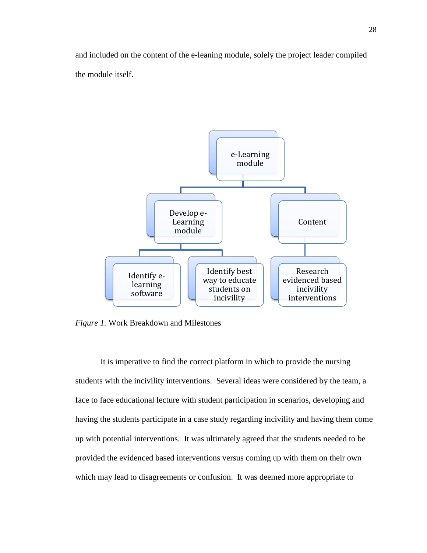and included on the content of the e-leaning module, solely the project leader compiled the module itself.



*Figure 1.* Work Breakdown and Milestones

It is imperative to find the correct platform in which to provide the nursing students with the incivility interventions. Several ideas were considered by the team, a face to face educational lecture with student participation in scenarios, developing and having the students participate in a case study regarding incivility and having them come up with potential interventions. It was ultimately agreed that the students needed to be provided the evidenced based interventions versus coming up with them on their own which may lead to disagreements or confusion. It was deemed more appropriate to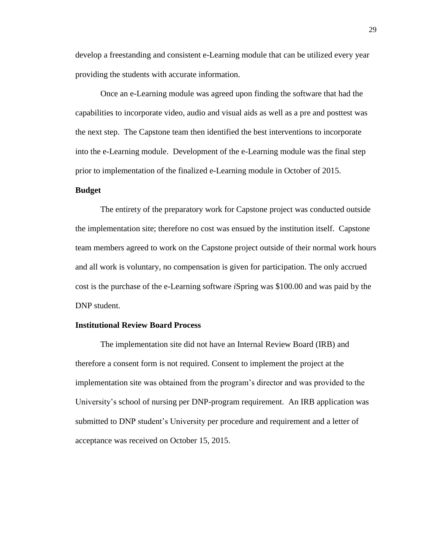develop a freestanding and consistent e-Learning module that can be utilized every year providing the students with accurate information.

Once an e-Learning module was agreed upon finding the software that had the capabilities to incorporate video, audio and visual aids as well as a pre and posttest was the next step. The Capstone team then identified the best interventions to incorporate into the e-Learning module. Development of the e-Learning module was the final step prior to implementation of the finalized e-Learning module in October of 2015.

#### **Budget**

The entirety of the preparatory work for Capstone project was conducted outside the implementation site; therefore no cost was ensued by the institution itself. Capstone team members agreed to work on the Capstone project outside of their normal work hours and all work is voluntary, no compensation is given for participation. The only accrued cost is the purchase of the e-Learning software *i*Spring was \$100.00 and was paid by the DNP student.

#### **Institutional Review Board Process**

The implementation site did not have an Internal Review Board (IRB) and therefore a consent form is not required. Consent to implement the project at the implementation site was obtained from the program's director and was provided to the University's school of nursing per DNP-program requirement. An IRB application was submitted to DNP student's University per procedure and requirement and a letter of acceptance was received on October 15, 2015.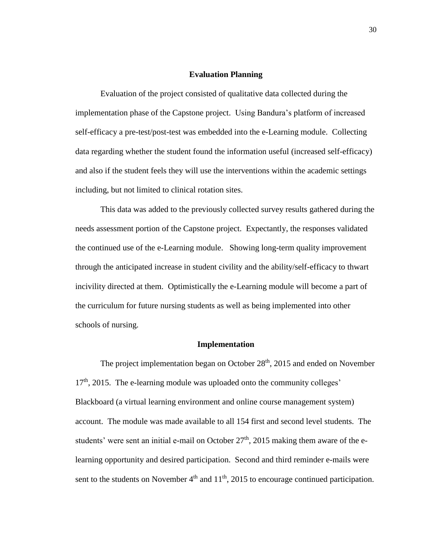#### **Evaluation Planning**

Evaluation of the project consisted of qualitative data collected during the implementation phase of the Capstone project. Using Bandura's platform of increased self-efficacy a pre-test/post-test was embedded into the e-Learning module. Collecting data regarding whether the student found the information useful (increased self-efficacy) and also if the student feels they will use the interventions within the academic settings including, but not limited to clinical rotation sites.

This data was added to the previously collected survey results gathered during the needs assessment portion of the Capstone project. Expectantly, the responses validated the continued use of the e-Learning module. Showing long-term quality improvement through the anticipated increase in student civility and the ability/self-efficacy to thwart incivility directed at them. Optimistically the e-Learning module will become a part of the curriculum for future nursing students as well as being implemented into other schools of nursing.

#### **Implementation**

The project implementation began on October  $28<sup>th</sup>$ , 2015 and ended on November 17<sup>th</sup>, 2015. The e-learning module was uploaded onto the community colleges' Blackboard (a virtual learning environment and online course management system) account. The module was made available to all 154 first and second level students. The students' were sent an initial e-mail on October  $27<sup>th</sup>$ , 2015 making them aware of the elearning opportunity and desired participation. Second and third reminder e-mails were sent to the students on November  $4<sup>th</sup>$  and  $11<sup>th</sup>$ , 2015 to encourage continued participation.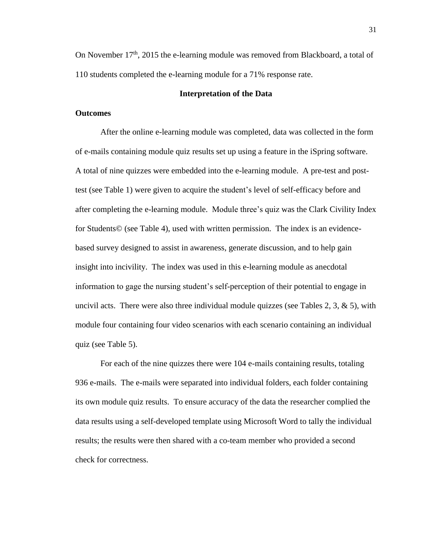On November  $17<sup>th</sup>$ , 2015 the e-learning module was removed from Blackboard, a total of 110 students completed the e-learning module for a 71% response rate.

#### **Interpretation of the Data**

#### **Outcomes**

After the online e-learning module was completed, data was collected in the form of e-mails containing module quiz results set up using a feature in the iSpring software. A total of nine quizzes were embedded into the e-learning module. A pre-test and posttest (see Table 1) were given to acquire the student's level of self-efficacy before and after completing the e-learning module. Module three's quiz was the Clark Civility Index for Students© (see Table 4), used with written permission. The index is an evidencebased survey designed to assist in awareness, generate discussion, and to help gain insight into incivility. The index was used in this e-learning module as anecdotal information to gage the nursing student's self-perception of their potential to engage in uncivil acts. There were also three individual module quizzes (see Tables 2, 3,  $\&$  5), with module four containing four video scenarios with each scenario containing an individual quiz (see Table 5).

For each of the nine quizzes there were 104 e-mails containing results, totaling 936 e-mails. The e-mails were separated into individual folders, each folder containing its own module quiz results. To ensure accuracy of the data the researcher complied the data results using a self-developed template using Microsoft Word to tally the individual results; the results were then shared with a co-team member who provided a second check for correctness.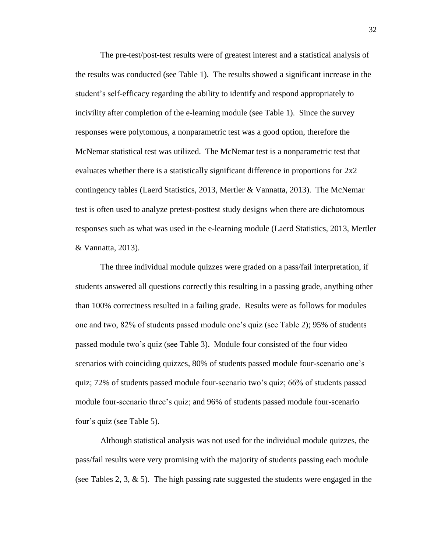The pre-test/post-test results were of greatest interest and a statistical analysis of the results was conducted (see Table 1). The results showed a significant increase in the student's self-efficacy regarding the ability to identify and respond appropriately to incivility after completion of the e-learning module (see Table 1). Since the survey responses were polytomous, a nonparametric test was a good option, therefore the McNemar statistical test was utilized. The McNemar test is a nonparametric test that evaluates whether there is a statistically significant difference in proportions for 2x2 contingency tables (Laerd Statistics, 2013, Mertler & Vannatta, 2013). The McNemar test is often used to analyze pretest-posttest study designs when there are dichotomous responses such as what was used in the e-learning module (Laerd Statistics, 2013, Mertler & Vannatta, 2013).

The three individual module quizzes were graded on a pass/fail interpretation, if students answered all questions correctly this resulting in a passing grade, anything other than 100% correctness resulted in a failing grade. Results were as follows for modules one and two, 82% of students passed module one's quiz (see Table 2); 95% of students passed module two's quiz (see Table 3). Module four consisted of the four video scenarios with coinciding quizzes, 80% of students passed module four-scenario one's quiz; 72% of students passed module four-scenario two's quiz; 66% of students passed module four-scenario three's quiz; and 96% of students passed module four-scenario four's quiz (see Table 5).

Although statistical analysis was not used for the individual module quizzes, the pass/fail results were very promising with the majority of students passing each module (see Tables 2, 3,  $\&$  5). The high passing rate suggested the students were engaged in the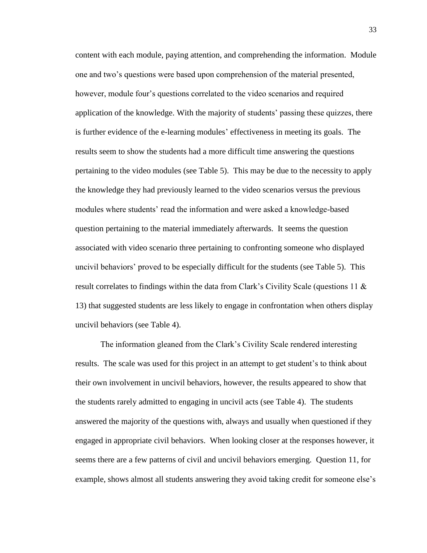content with each module, paying attention, and comprehending the information. Module one and two's questions were based upon comprehension of the material presented, however, module four's questions correlated to the video scenarios and required application of the knowledge. With the majority of students' passing these quizzes, there is further evidence of the e-learning modules' effectiveness in meeting its goals. The results seem to show the students had a more difficult time answering the questions pertaining to the video modules (see Table 5). This may be due to the necessity to apply the knowledge they had previously learned to the video scenarios versus the previous modules where students' read the information and were asked a knowledge-based question pertaining to the material immediately afterwards. It seems the question associated with video scenario three pertaining to confronting someone who displayed uncivil behaviors' proved to be especially difficult for the students (see Table 5). This result correlates to findings within the data from Clark's Civility Scale (questions 11 & 13) that suggested students are less likely to engage in confrontation when others display uncivil behaviors (see Table 4).

The information gleaned from the Clark's Civility Scale rendered interesting results. The scale was used for this project in an attempt to get student's to think about their own involvement in uncivil behaviors, however, the results appeared to show that the students rarely admitted to engaging in uncivil acts (see Table 4). The students answered the majority of the questions with, always and usually when questioned if they engaged in appropriate civil behaviors. When looking closer at the responses however, it seems there are a few patterns of civil and uncivil behaviors emerging. Question 11, for example, shows almost all students answering they avoid taking credit for someone else's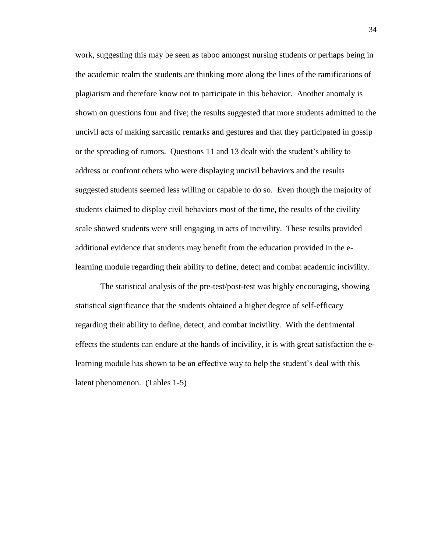work, suggesting this may be seen as taboo amongst nursing students or perhaps being in the academic realm the students are thinking more along the lines of the ramifications of plagiarism and therefore know not to participate in this behavior. Another anomaly is shown on questions four and five; the results suggested that more students admitted to the uncivil acts of making sarcastic remarks and gestures and that they participated in gossip or the spreading of rumors. Questions 11 and 13 dealt with the student's ability to address or confront others who were displaying uncivil behaviors and the results suggested students seemed less willing or capable to do so. Even though the majority of students claimed to display civil behaviors most of the time, the results of the civility scale showed students were still engaging in acts of incivility. These results provided additional evidence that students may benefit from the education provided in the elearning module regarding their ability to define, detect and combat academic incivility.

The statistical analysis of the pre-test/post-test was highly encouraging, showing statistical significance that the students obtained a higher degree of self-efficacy regarding their ability to define, detect, and combat incivility. With the detrimental effects the students can endure at the hands of incivility, it is with great satisfaction the elearning module has shown to be an effective way to help the student's deal with this latent phenomenon. (Tables 1-5)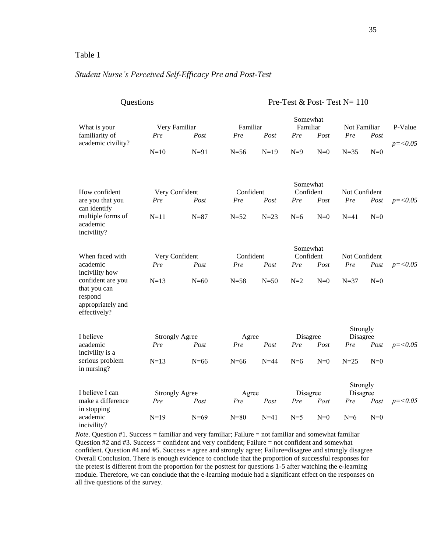#### Table 1

| Questions                                                                                                                          |                                        |                  | Pre-Test & Post-Test $N = 110$ |                  |                                       |               |                                       |               |                       |
|------------------------------------------------------------------------------------------------------------------------------------|----------------------------------------|------------------|--------------------------------|------------------|---------------------------------------|---------------|---------------------------------------|---------------|-----------------------|
| What is your<br>familiarity of<br>academic civility?                                                                               | Very Familiar<br>Pre<br>$N=10$         | Post<br>$N=91$   | Familiar<br>Pre<br>$N=56$      | Post<br>$N=19$   | Somewhat<br>Familiar<br>Pre<br>$N=9$  | Post<br>$N=0$ | Not Familiar<br>Pre<br>$N = 35$       | Post<br>$N=0$ | P-Value<br>$p = 0.05$ |
| How confident<br>are you that you<br>can identify<br>multiple forms of<br>academic<br>incivility?                                  | Very Confident<br>Pre<br>$N=11$        | Post<br>$N=87$   | Confident<br>Pre<br>$N=52$     | Post<br>$N=23$   | Somewhat<br>Confident<br>Pre<br>$N=6$ | Post<br>$N=0$ | Not Confident<br>Pre<br>$N=41$        | Post<br>$N=0$ | $p = 0.05$            |
| When faced with<br>academic<br>incivility how<br>confident are you<br>that you can<br>respond<br>appropriately and<br>effectively? | Very Confident<br>Pre<br>$N=13$        | Post<br>$N=60$   | Confident<br>Pre<br>$N=58$     | Post<br>$N=50$   | Somewhat<br>Confident<br>Pre<br>$N=2$ | Post<br>$N=0$ | Not Confident<br>Pre<br>$N=37$        | Post<br>$N=0$ | $p = 0.05$            |
| I believe<br>academic<br>incivility is a<br>serious problem<br>in nursing?                                                         | <b>Strongly Agree</b><br>Pre<br>$N=13$ | Post<br>$N=66$   | Agree<br>Pre<br>$N=66$         | Post<br>$N=44$   | Disagree<br>Pre<br>$N=6$              | Post<br>$N=0$ | Strongly<br>Disagree<br>Pre<br>$N=25$ | Post<br>$N=0$ | $p = 0.05$            |
| I believe I can<br>make a difference<br>in stopping<br>academic<br>incivility?                                                     | <b>Strongly Agree</b><br>Pre<br>$N=19$ | Post<br>$N = 69$ | Agree<br>Pre<br>$N=80$         | Post<br>$N = 41$ | Disagree<br>Pre<br>$N=5$              | Post<br>$N=0$ | Strongly<br>Disagree<br>Pre<br>$N=6$  | Post<br>$N=0$ | $p=<0.05$             |

*Note*. Question #1. Success = familiar and very familiar; Failure = not familiar and somewhat familiar Question #2 and #3. Success = confident and very confident; Failure = not confident and somewhat confident. Question #4 and #5. Success = agree and strongly agree; Failure=disagree and strongly disagree Overall Conclusion. There is enough evidence to conclude that the proportion of successful responses for the pretest is different from the proportion for the posttest for questions 1-5 after watching the e-learning module. Therefore, we can conclude that the e-learning module had a significant effect on the responses on all five questions of the survey.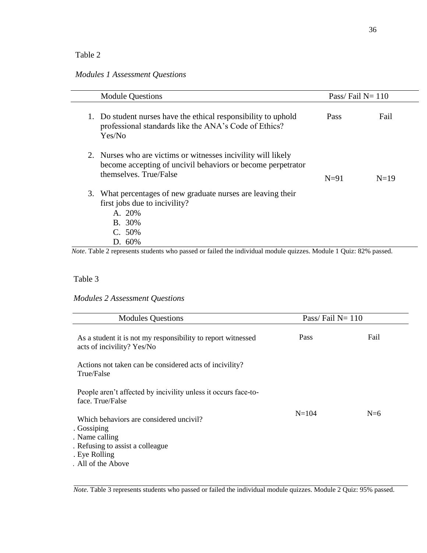#### Table 2

## *Modules 1 Assessment Questions*

|    | <b>Module Questions</b>                                                                                                                                | Pass/Fail $N = 110$ |        |  |
|----|--------------------------------------------------------------------------------------------------------------------------------------------------------|---------------------|--------|--|
|    | 1. Do student nurses have the ethical responsibility to uphold<br>professional standards like the ANA's Code of Ethics?<br>Yes/No                      | <b>Pass</b>         | Fail   |  |
|    | 2. Nurses who are victims or witnesses incivility will likely<br>become accepting of uncivil behaviors or become perpetrator<br>themselves. True/False | $N=91$              | $N=19$ |  |
| 3. | What percentages of new graduate nurses are leaving their<br>first jobs due to incivility?<br>A. 20%<br>B. 30%<br>C. 50%<br>D. 60%                     |                     |        |  |

*Note*. Table 2 represents students who passed or failed the individual module quizzes. Module 1 Quiz: 82% passed.

#### Table 3

*Modules 2 Assessment Questions* 

| <b>Modules Questions</b>                                                                                                                             | Pass/Fail $N=110$ |       |
|------------------------------------------------------------------------------------------------------------------------------------------------------|-------------------|-------|
| As a student it is not my responsibility to report witnessed<br>acts of incivility? Yes/No                                                           | Pass              | Fail  |
| Actions not taken can be considered acts of incivility?<br>True/False                                                                                |                   |       |
| People aren't affected by incivility unless it occurs face-to-<br>face. True/False                                                                   |                   |       |
| Which behaviors are considered uncivil?<br>. Gossiping<br>. Name calling<br>. Refusing to assist a colleague.<br>. Eye Rolling<br>. All of the Above | $N = 104$         | $N=6$ |

*Note*. Table 3 represents students who passed or failed the individual module quizzes. Module 2 Quiz: 95% passed.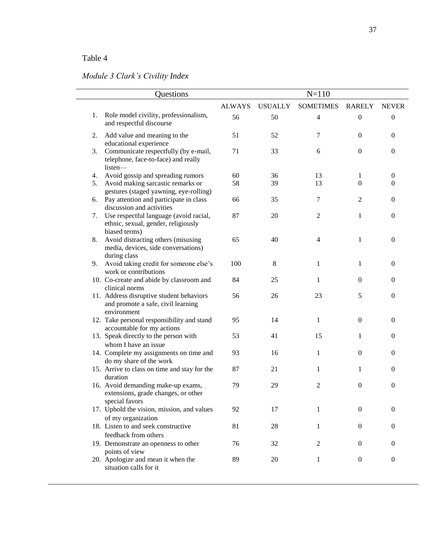## Table 4

## *Module 3 Clark's Civility Index*

|    | Questions                                                                                      | $N = 110$     |                |                  |                  |                  |
|----|------------------------------------------------------------------------------------------------|---------------|----------------|------------------|------------------|------------------|
|    |                                                                                                | <b>ALWAYS</b> | <b>USUALLY</b> | <b>SOMETIMES</b> | <b>RARELY</b>    | <b>NEVER</b>     |
| 1. | Role model civility, professionalism,<br>and respectful discourse                              | 56            | 50             | $\overline{4}$   | $\boldsymbol{0}$ | $\boldsymbol{0}$ |
| 2. | Add value and meaning to the<br>educational experience                                         | 51            | 52             | $\tau$           | $\overline{0}$   | $\overline{0}$   |
| 3. | Communicate respectfully (by e-mail,<br>telephone, face-to-face) and really<br>listen-         | 71            | 33             | 6                | $\mathbf{0}$     | $\mathbf{0}$     |
| 4. | Avoid gossip and spreading rumors                                                              | 60            | 36             | 13               | 1                | $\boldsymbol{0}$ |
| 5. | Avoid making sarcastic remarks or<br>gestures (staged yawning, eye-rolling)                    | 58            | 39             | 13               | $\Omega$         | $\Omega$         |
| 6. | Pay attention and participate in class<br>discussion and activities                            | 66            | 35             | 7                | 2                | $\overline{0}$   |
| 7. | Use respectful language (avoid racial,<br>ethnic, sexual, gender, religiously<br>biased terms) | 87            | 20             | $\boldsymbol{2}$ | 1                | $\boldsymbol{0}$ |
| 8. | Avoid distracting others (misusing<br>media, devices, side conversations)<br>during class      | 65            | 40             | $\overline{4}$   | $\mathbf{1}$     | $\mathbf{0}$     |
| 9. | Avoid taking credit for someone else's<br>work or contributions                                | 100           | 8              | $\mathbf{1}$     | 1                | $\mathbf{0}$     |
|    | 10. Co-create and abide by classroom and<br>clinical norms                                     | 84            | 25             | $\mathbf{1}$     | $\mathbf{0}$     | $\mathbf{0}$     |
|    | 11. Address disruptive student behaviors<br>and promote a safe, civil learning<br>environment  | 56            | 26             | 23               | 5                | $\boldsymbol{0}$ |
|    | 12. Take personal responsibility and stand<br>accountable for my actions                       | 95            | 14             | 1                | $\mathbf{0}$     | $\overline{0}$   |
|    | 13. Speak directly to the person with<br>whom I have an issue                                  | 53            | 41             | 15               | 1                | $\overline{0}$   |
|    | 14. Complete my assignments on time and<br>do my share of the work                             | 93            | 16             | $\mathbf{1}$     | $\overline{0}$   | $\overline{0}$   |
|    | 15. Arrive to class on time and stay for the<br>duration                                       | 87            | 21             | 1                | 1                | $\Omega$         |
|    | 16. Avoid demanding make-up exams,<br>extensions, grade changes, or other<br>special favors    | 79            | 29             | $\overline{2}$   | $\boldsymbol{0}$ | $\overline{0}$   |
|    | 17. Uphold the vision, mission, and values<br>of my organization                               | 92            | 17             | 1                | $\boldsymbol{0}$ | $\overline{0}$   |
|    | 18. Listen to and seek constructive                                                            | 81            | 28             | 1                | $\mathbf{0}$     | $\mathbf{0}$     |
|    | feedback from others<br>19. Demonstrate an openness to other                                   | 76            | 32             | $\overline{c}$   | $\theta$         | $\mathbf{0}$     |
|    | points of view<br>20. Apologize and mean it when the<br>situation calls for it                 | 89            | 20             | 1                | $\boldsymbol{0}$ | $\boldsymbol{0}$ |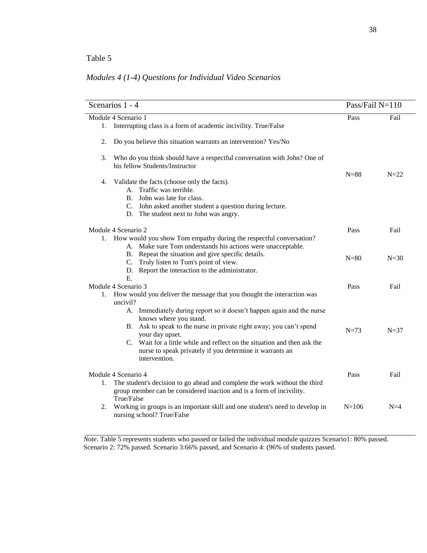## *Modules 4 (1-4) Questions for Individual Video Scenarios*

|    | Scenarios 1 - 4     |                                                                                                                                                                                                                                                                                                                                                    | Pass/Fail $N=110$ |        |
|----|---------------------|----------------------------------------------------------------------------------------------------------------------------------------------------------------------------------------------------------------------------------------------------------------------------------------------------------------------------------------------------|-------------------|--------|
|    | Module 4 Scenario 1 |                                                                                                                                                                                                                                                                                                                                                    | Pass              | Fail   |
|    |                     | 1. Interrupting class is a form of academic incivility. True/False                                                                                                                                                                                                                                                                                 |                   |        |
| 2. |                     | Do you believe this situation warrants an intervention? Yes/No                                                                                                                                                                                                                                                                                     |                   |        |
| 3. |                     | Who do you think should have a respectful conversation with John? One of<br>his fellow Students/Instructor                                                                                                                                                                                                                                         |                   |        |
| 4. | B.                  | Validate the facts (choose only the facts).<br>A. Traffic was terrible.<br>John was late for class.<br>C. John asked another student a question during lecture.<br>D. The student next to John was angry.                                                                                                                                          | $N=88$            | $N=22$ |
|    | Module 4 Scenario 2 |                                                                                                                                                                                                                                                                                                                                                    | Pass              | Fail   |
|    | C.                  | 1. How would you show Tom empathy during the respectful conversation?<br>A. Make sure Tom understands his actions were unacceptable.<br>B. Repeat the situation and give specific details.<br>Truly listen to Tom's point of view.<br>D. Report the interaction to the administrator.                                                              | $N=80$            | $N=30$ |
|    | $E_{\rm c}$         |                                                                                                                                                                                                                                                                                                                                                    |                   |        |
|    | Module 4 Scenario 3 |                                                                                                                                                                                                                                                                                                                                                    | Pass              | Fail   |
| 1. | uncivil?            | How would you deliver the message that you thought the interaction was                                                                                                                                                                                                                                                                             |                   |        |
|    |                     | A. Immediately during report so it doesn't happen again and the nurse<br>knows where you stand.<br>B. Ask to speak to the nurse in private right away; you can't spend<br>your day upset.<br>C. Wait for a little while and reflect on the situation and then ask the<br>nurse to speak privately if you determine it warrants an<br>intervention. | $N=73$            | $N=37$ |
| 1. | Module 4 Scenario 4 | The student's decision to go ahead and complete the work without the third<br>group member can be considered inaction and is a form of incivility.                                                                                                                                                                                                 | Pass              | Fail   |
| 2. | True/False          | Working in groups is an important skill and one student's need to develop in<br>nursing school? True/False                                                                                                                                                                                                                                         | $N = 106$         | $N=4$  |

*Note*. Table 5 represents students who passed or failed the individual module quizzes Scenario1: 80% passed. Scenario 2: 72% passed. Scenario 3:66% passed, and Scenario 4: (96% of students passed.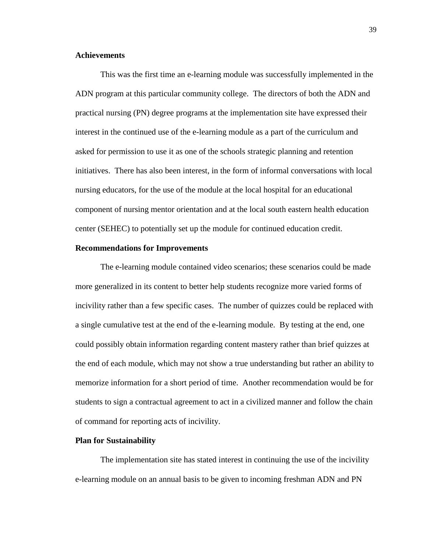#### **Achievements**

This was the first time an e-learning module was successfully implemented in the ADN program at this particular community college. The directors of both the ADN and practical nursing (PN) degree programs at the implementation site have expressed their interest in the continued use of the e-learning module as a part of the curriculum and asked for permission to use it as one of the schools strategic planning and retention initiatives. There has also been interest, in the form of informal conversations with local nursing educators, for the use of the module at the local hospital for an educational component of nursing mentor orientation and at the local south eastern health education center (SEHEC) to potentially set up the module for continued education credit.

#### **Recommendations for Improvements**

The e-learning module contained video scenarios; these scenarios could be made more generalized in its content to better help students recognize more varied forms of incivility rather than a few specific cases. The number of quizzes could be replaced with a single cumulative test at the end of the e-learning module. By testing at the end, one could possibly obtain information regarding content mastery rather than brief quizzes at the end of each module, which may not show a true understanding but rather an ability to memorize information for a short period of time. Another recommendation would be for students to sign a contractual agreement to act in a civilized manner and follow the chain of command for reporting acts of incivility.

#### **Plan for Sustainability**

The implementation site has stated interest in continuing the use of the incivility e-learning module on an annual basis to be given to incoming freshman ADN and PN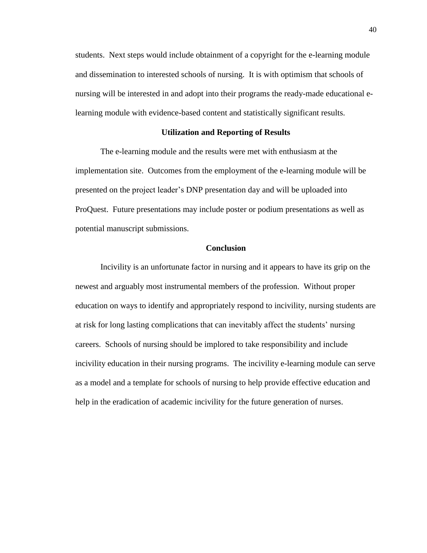students. Next steps would include obtainment of a copyright for the e-learning module and dissemination to interested schools of nursing. It is with optimism that schools of nursing will be interested in and adopt into their programs the ready-made educational elearning module with evidence-based content and statistically significant results.

#### **Utilization and Reporting of Results**

The e-learning module and the results were met with enthusiasm at the implementation site. Outcomes from the employment of the e-learning module will be presented on the project leader's DNP presentation day and will be uploaded into ProQuest. Future presentations may include poster or podium presentations as well as potential manuscript submissions.

#### **Conclusion**

Incivility is an unfortunate factor in nursing and it appears to have its grip on the newest and arguably most instrumental members of the profession. Without proper education on ways to identify and appropriately respond to incivility, nursing students are at risk for long lasting complications that can inevitably affect the students' nursing careers. Schools of nursing should be implored to take responsibility and include incivility education in their nursing programs. The incivility e-learning module can serve as a model and a template for schools of nursing to help provide effective education and help in the eradication of academic incivility for the future generation of nurses.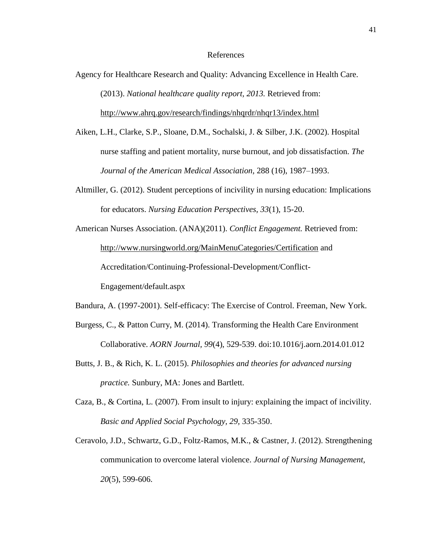#### References

Agency for Healthcare Research and Quality: Advancing Excellence in Health Care. (2013). *National healthcare quality report, 2013.* Retrieved from:

<http://www.ahrq.gov/research/findings/nhqrdr/nhqr13/index.html>

- Aiken, L.H., Clarke, S.P., Sloane, D.M., Sochalski, J. & Silber, J.K. (2002). Hospital nurse staffing and patient mortality, nurse burnout, and job dissatisfaction. *The Journal of the American Medical Association,* 288 (16), 1987–1993.
- Altmiller, G. (2012). Student perceptions of incivility in nursing education: Implications for educators. *Nursing Education Perspectives, 33*(1), 15-20.
- American Nurses Association. (ANA)(2011). *Conflict Engagement.* Retrieved from: <http://www.nursingworld.org/MainMenuCategories/Certification> and Accreditation/Continuing-Professional-Development/Conflict-Engagement/default.aspx

Bandura, A. (1997-2001). Self-efficacy: The Exercise of Control. Freeman, New York.

- Burgess, C., & Patton Curry, M. (2014). Transforming the Health Care Environment Collaborative. *AORN Journal, 99*(4), 529-539. doi:10.1016/j.aorn.2014.01.012
- Butts, J. B., & Rich, K. L. (2015). *Philosophies and theories for advanced nursing practice.* Sunbury, MA: Jones and Bartlett.
- Caza, B., & Cortina, L. (2007). From insult to injury: explaining the impact of incivility. *Basic and Applied Social Psychology, 29,* 335-350.
- Ceravolo, J.D., Schwartz, G.D., Foltz-Ramos, M.K., & Castner, J. (2012). Strengthening communication to overcome lateral violence. *Journal of Nursing Management, 20*(5), 599-606.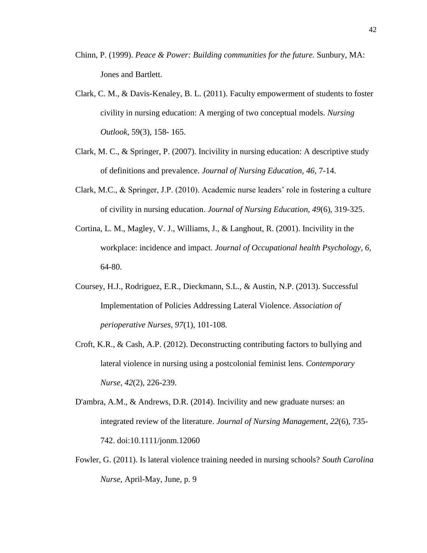- Chinn, P. (1999). *Peace & Power: Building communities for the future.* Sunbury, MA: Jones and Bartlett.
- Clark, C. M., & Davis-Kenaley, B. L. (2011). Faculty empowerment of students to foster civility in nursing education: A merging of two conceptual models. *Nursing Outlook,* 59(3), 158- 165.
- Clark, M. C., & Springer, P. (2007). Incivility in nursing education: A descriptive study of definitions and prevalence. *Journal of Nursing Education, 46,* 7-14.
- Clark, M.C., & Springer, J.P. (2010). Academic nurse leaders' role in fostering a culture of civility in nursing education. *Journal of Nursing Education, 49*(6), 319-325.
- Cortina, L. M., Magley, V. J., Williams, J., & Langhout, R. (2001). Incivility in the workplace: incidence and impact. *Journal of Occupational health Psychology, 6,*  64-80.
- Coursey, H.J., Rodriguez, E.R., Dieckmann, S.L., & Austin, N.P. (2013). Successful Implementation of Policies Addressing Lateral Violence. *Association of perioperative Nurses, 97*(1), 101-108.
- Croft, K.R., & Cash, A.P. (2012). Deconstructing contributing factors to bullying and lateral violence in nursing using a postcolonial feminist lens. *Contemporary Nurse, 42*(2), 226-239.
- D'ambra, A.M., & Andrews, D.R. (2014). Incivility and new graduate nurses: an integrated review of the literature. *Journal of Nursing Management*, *22*(6), 735- 742. doi:10.1111/jonm.12060
- Fowler, G. (2011). Is lateral violence training needed in nursing schools? *South Carolina Nurse,* April-May, June, p. 9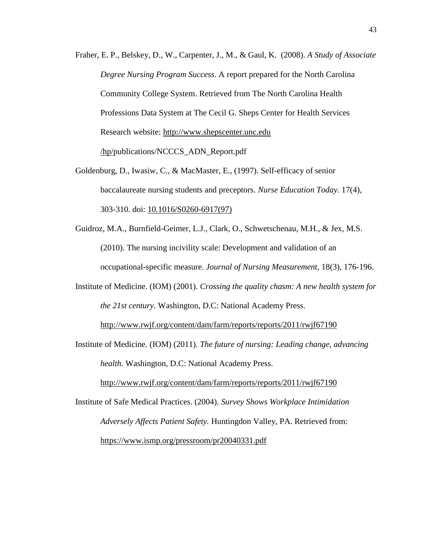- Fraher, E. P., Belskey, D., W., Carpenter, J., M., & Gaul, K. (2008). *A Study of Associate Degree Nursing Program Success*. A report prepared for the North Carolina Community College System. Retrieved from The North Carolina Health Professions Data System at The Cecil G. Sheps Center for Health Services Research website: http://www.shepscenter.unc.edu /hp/publications/NCCCS\_ADN\_Report.pdf
- Goldenburg, D., Iwasiw, C., & MacMaster, E., (1997). Self-efficacy of senior baccalaureate nursing students and preceptors. *Nurse Education Today.* 17(4), 303-310. doi: 10.1016/S0260-6917(97)
- Guidroz, M.A., Burnfield-Geimer, L.J., Clark, O., Schwetschenau, M.H., & Jex, M.S. (2010). The nursing incivility scale: Development and validation of an occupational-specific measure. *Journal of Nursing Measurement*, 18(3), 176-196.
- Institute of Medicine. (IOM) (2001). *Crossing the quality chasm: A new health system for the 21st century*. Washington, D.C: National Academy Press.

<http://www.rwjf.org/content/dam/farm/reports/reports/2011/rwjf67190>

Institute of Medicine. (IOM) (2011). *The future of nursing: Leading change, advancing health.* Washington, D.C: National Academy Press.

<http://www.rwjf.org/content/dam/farm/reports/reports/2011/rwjf67190>

Institute of Safe Medical Practices. (2004). *Survey Shows Workplace Intimidation Adversely Affects Patient Safety.* Huntingdon Valley, PA. Retrieved from: <https://www.ismp.org/pressroom/pr20040331.pdf>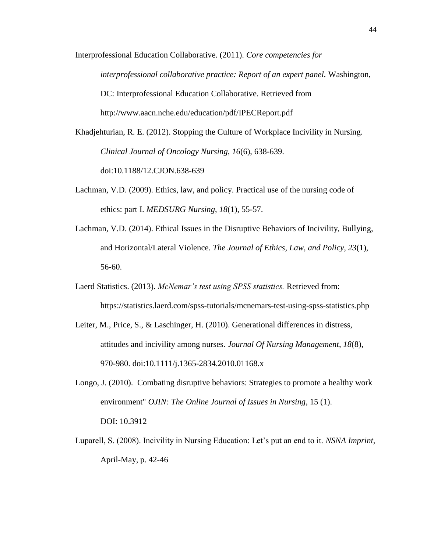Interprofessional Education Collaborative. (2011). *Core competencies for interprofessional collaborative practice: Report of an expert panel.* Washington, DC: Interprofessional Education Collaborative. Retrieved from http://www.aacn.nche.edu/education/pdf/IPECReport.pdf

Khadjehturian, R. E. (2012). Stopping the Culture of Workplace Incivility in Nursing. *Clinical Journal of Oncology Nursing*, *16*(6), 638-639. doi:10.1188/12.CJON.638-639

- Lachman, V.D. (2009). Ethics, law, and policy. Practical use of the nursing code of ethics: part I. *MEDSURG Nursing*, *18*(1), 55-57.
- Lachman, V.D. (2014). Ethical Issues in the Disruptive Behaviors of Incivility, Bullying, and Horizontal/Lateral Violence. *The Journal of Ethics, Law, and Policy, 23*(1), 56-60.
- Laerd Statistics. (2013). *McNemar's test using SPSS statistics.* Retrieved from: https://statistics.laerd.com/spss-tutorials/mcnemars-test-using-spss-statistics.php
- Leiter, M., Price, S., & Laschinger, H. (2010). Generational differences in distress, attitudes and incivility among nurses. *Journal Of Nursing Management*, *18*(8), 970-980. doi:10.1111/j.1365-2834.2010.01168.x
- Longo, J. (2010). Combating disruptive behaviors: Strategies to promote a healthy work environment" *OJIN: The Online Journal of Issues in Nursing,* 15 (1). DOI: 10.3912
- Luparell, S. (2008). Incivility in Nursing Education: Let's put an end to it. *NSNA Imprint,*  April-May, p. 42-46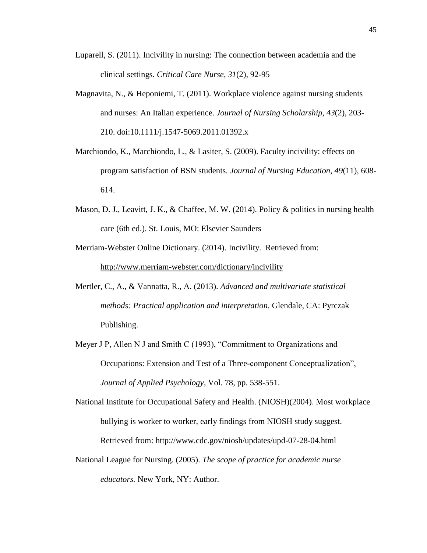- Luparell, S. (2011). Incivility in nursing: The connection between academia and the clinical settings. *Critical Care Nurse, 31*(2), 92-95
- Magnavita, N., & Heponiemi, T. (2011). Workplace violence against nursing students and nurses: An Italian experience. *Journal of Nursing Scholarship*, *43*(2), 203- 210. doi:10.1111/j.1547-5069.2011.01392.x
- Marchiondo, K., Marchiondo, L., & Lasiter, S. (2009). Faculty incivility: effects on program satisfaction of BSN students. *Journal of Nursing Education, 49*(11), 608- 614.
- Mason, D. J., Leavitt, J. K., & Chaffee, M. W. (2014). Policy & politics in nursing health care (6th ed.). St. Louis, MO: Elsevier Saunders
- Merriam-Webster Online Dictionary. (2014). Incivility. Retrieved from: <http://www.merriam-webster.com/dictionary/incivility>
- Mertler, C., A., & Vannatta, R., A. (2013). *Advanced and multivariate statistical methods: Practical application and interpretation.* Glendale, CA: Pyrczak Publishing.
- Meyer J P, Allen N J and Smith C (1993), "Commitment to Organizations and Occupations: Extension and Test of a Three-component Conceptualization", *Journal of Applied Psychology*, Vol. 78, pp. 538-551.
- National Institute for Occupational Safety and Health. (NIOSH)(2004). Most workplace bullying is worker to worker, early findings from NIOSH study suggest. Retrieved from: <http://www.cdc.gov/niosh/updates/upd-07-28-04.html>
- National League for Nursing. (2005). *The scope of practice for academic nurse educators.* New York, NY: Author.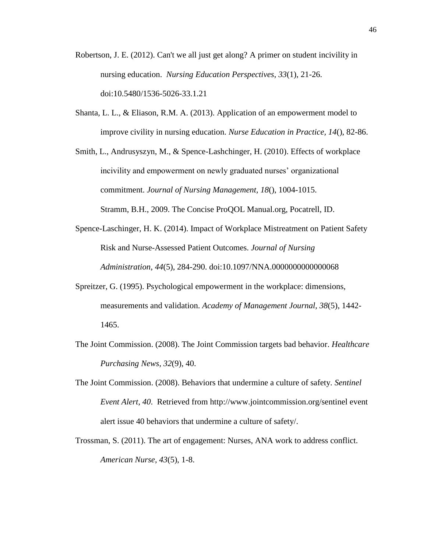- Robertson, J. E. (2012). Can't we all just get along? A primer on student incivility in nursing education. *Nursing Education Perspectives*, *33*(1), 21-26. doi:10.5480/1536-5026-33.1.21
- Shanta, L. L., & Eliason, R.M. A. (2013). Application of an empowerment model to improve civility in nursing education. *Nurse Education in Practice, 14*(), 82-86.
- Smith, L., Andrusyszyn, M., & Spence-Lashchinger, H. (2010). Effects of workplace incivility and empowerment on newly graduated nurses' organizational commitment. *Journal of Nursing Management, 18*(), 1004-1015. Stramm, B.H., 2009. The Concise ProQOL Manual.org, Pocatrell, ID.
- Spence-Laschinger, H. K. (2014). Impact of Workplace Mistreatment on Patient Safety Risk and Nurse-Assessed Patient Outcomes. *Journal of Nursing Administration*, *44*(5), 284-290. doi:10.1097/NNA.0000000000000068
- Spreitzer, G. (1995). Psychological empowerment in the workplace: dimensions, measurements and validation. *Academy of Management Journal, 38*(5), 1442- 1465.
- The Joint Commission. (2008). The Joint Commission targets bad behavior. *Healthcare Purchasing News*, *32*(9), 40.
- The Joint Commission. (2008). Behaviors that undermine a culture of safety. *Sentinel Event Alert*, *40*. Retrieved from [http://www.jointcommission.org/sentinel event](http://www.jointcommission.org/sentinel%20event%20alert%20issue%2040%20behaviors%20that%20undermine%20a%20culture%20of%20safety/)  [alert issue 40 behaviors that undermine a culture of safety/.](http://www.jointcommission.org/sentinel%20event%20alert%20issue%2040%20behaviors%20that%20undermine%20a%20culture%20of%20safety/)
- Trossman, S. (2011). The art of engagement: Nurses, ANA work to address conflict. *American Nurse*, *43*(5), 1-8.